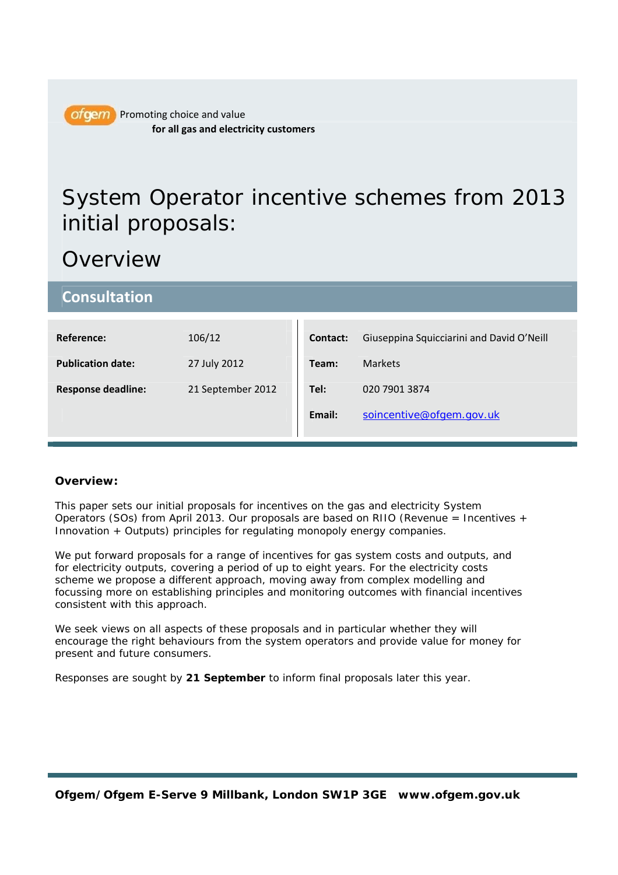

ofgem Promoting choice and value **for all gas and electricity customers**

# System Operator incentive schemes from 2013 initial proposals:

# Overview

| <b>Consultation</b>       |                   |          |                                           |
|---------------------------|-------------------|----------|-------------------------------------------|
|                           |                   |          |                                           |
| <b>Reference:</b>         | 106/12            | Contact: | Giuseppina Squicciarini and David O'Neill |
|                           |                   |          |                                           |
| <b>Publication date:</b>  | 27 July 2012      | Team:    | <b>Markets</b>                            |
|                           |                   |          |                                           |
| <b>Response deadline:</b> | 21 September 2012 | Tel:     | 020 7901 3874                             |
|                           |                   | Email:   | soincentive@ofgem.gov.uk                  |
|                           |                   |          |                                           |

### **Overview:**

This paper sets our initial proposals for incentives on the gas and electricity System Operators (SOs) from April 2013. Our proposals are based on RIIO (Revenue = Incentives  $+$ Innovation + Outputs) principles for regulating monopoly energy companies.

We put forward proposals for a range of incentives for gas system costs and outputs, and for electricity outputs, covering a period of up to eight years. For the electricity costs scheme we propose a different approach, moving away from complex modelling and focussing more on establishing principles and monitoring outcomes with financial incentives consistent with this approach.

We seek views on all aspects of these proposals and in particular whether they will encourage the right behaviours from the system operators and provide value for money for present and future consumers.

*Responses are sought by 21 September to inform final proposals later this year.*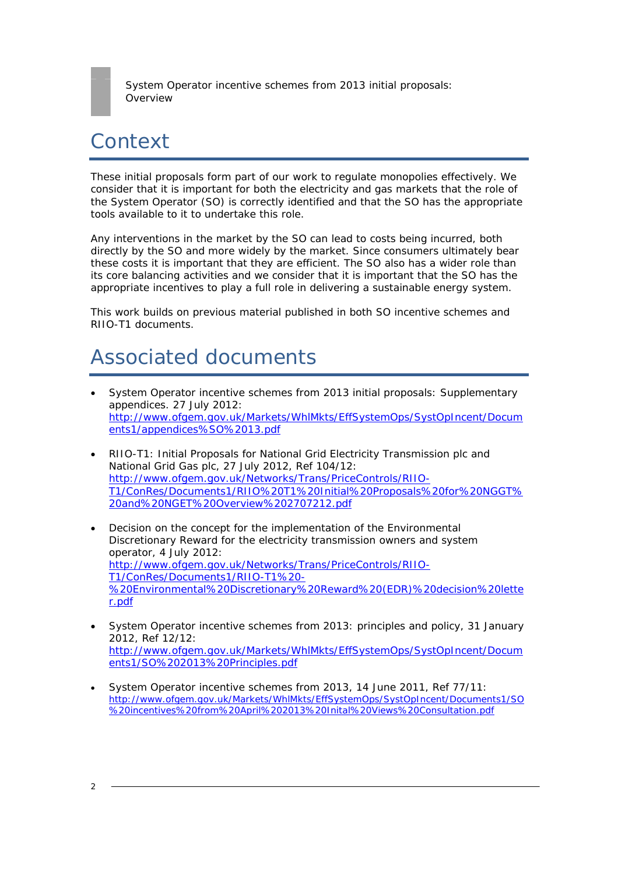

# Context

These initial proposals form part of our work to regulate monopolies effectively. We consider that it is important for both the electricity and gas markets that the role of the System Operator (SO) is correctly identified and that the SO has the appropriate tools available to it to undertake this role.

Any interventions in the market by the SO can lead to costs being incurred, both directly by the SO and more widely by the market. Since consumers ultimately bear these costs it is important that they are efficient. The SO also has a wider role than its core balancing activities and we consider that it is important that the SO has the appropriate incentives to play a full role in delivering a sustainable energy system.

This work builds on previous material published in both SO incentive schemes and RIIO-T1 documents.

# Associated documents

- System Operator incentive schemes from 2013 initial proposals: Supplementary appendices. 27 July 2012: http://www.ofgem.gov.uk/Markets/WhlMkts/EffSystemOps/SystOpIncent/Docum ents1/appendices%SO%2013.pdf
- RIIO-T1: Initial Proposals for National Grid Electricity Transmission plc and National Grid Gas plc, 27 July 2012, Ref 104/12: http://www.ofgem.gov.uk/Networks/Trans/PriceControls/RIIO-T1/ConRes/Documents1/RIIO%20T1%20Initial%20Proposals%20for%20NGGT% 20and%20NGET%20Overview%202707212.pdf
- Decision on the concept for the implementation of the Environmental Discretionary Reward for the electricity transmission owners and system operator, 4 July 2012: http://www.ofgem.gov.uk/Networks/Trans/PriceControls/RIIO-T1/ConRes/Documents1/RIIO-T1%20- %20Environmental%20Discretionary%20Reward%20(EDR)%20decision%20lette r.pdf
- System Operator incentive schemes from 2013: principles and policy, 31 January 2012, Ref 12/12: http://www.ofgem.gov.uk/Markets/WhlMkts/EffSystemOps/SystOpIncent/Docum ents1/SO%202013%20Principles.pdf
- System Operator incentive schemes from 2013, 14 June 2011, Ref 77/11: http://www.ofgem.gov.uk/Markets/WhlMkts/EffSystemOps/SystOpIncent/Documents1/SO %20incentives%20from%20April%202013%20Inital%20Views%20Consultation.pdf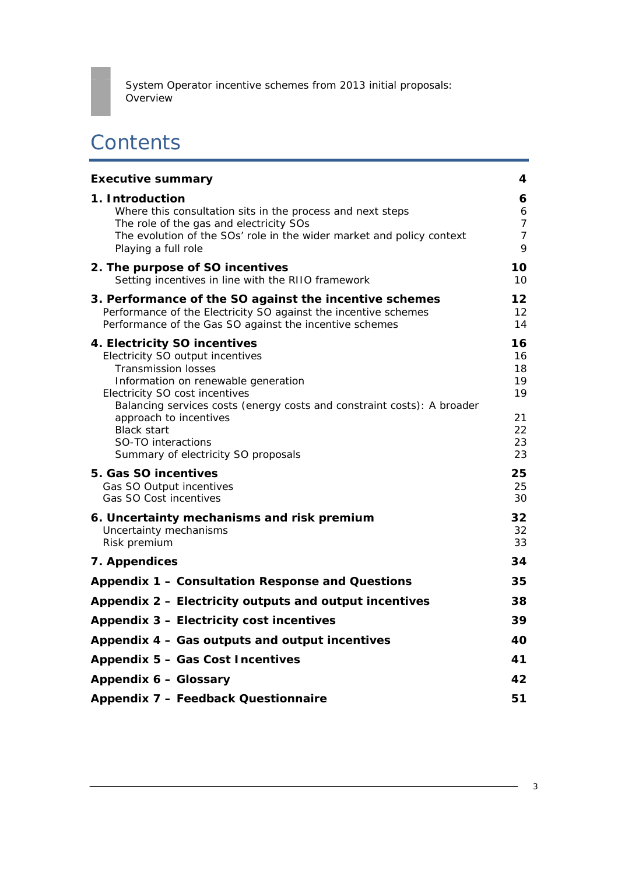

# **Contents**

| <b>Executive summary</b>                                                                                                                                                                                                                                                                                                                                        | 4                                                  |
|-----------------------------------------------------------------------------------------------------------------------------------------------------------------------------------------------------------------------------------------------------------------------------------------------------------------------------------------------------------------|----------------------------------------------------|
| 1. Introduction<br>Where this consultation sits in the process and next steps<br>The role of the gas and electricity SOs<br>The evolution of the SOs' role in the wider market and policy context<br>Playing a full role                                                                                                                                        | 6<br>6<br>7<br>$\overline{7}$<br>9                 |
| 2. The purpose of SO incentives<br>Setting incentives in line with the RIIO framework                                                                                                                                                                                                                                                                           | 10<br>10                                           |
| 3. Performance of the SO against the incentive schemes<br>Performance of the Electricity SO against the incentive schemes<br>Performance of the Gas SO against the incentive schemes                                                                                                                                                                            | $12 \overline{ }$<br>12<br>14                      |
| 4. Electricity SO incentives<br>Electricity SO output incentives<br><b>Transmission losses</b><br>Information on renewable generation<br>Electricity SO cost incentives<br>Balancing services costs (energy costs and constraint costs): A broader<br>approach to incentives<br><b>Black start</b><br>SO-TO interactions<br>Summary of electricity SO proposals | 16<br>16<br>18<br>19<br>19<br>21<br>22<br>23<br>23 |
| 5. Gas SO incentives<br>Gas SO Output incentives<br><b>Gas SO Cost incentives</b>                                                                                                                                                                                                                                                                               | 25<br>25<br>30                                     |
| 6. Uncertainty mechanisms and risk premium<br>Uncertainty mechanisms<br>Risk premium                                                                                                                                                                                                                                                                            | 32<br>32<br>33                                     |
| 7. Appendices                                                                                                                                                                                                                                                                                                                                                   | 34                                                 |
| Appendix 1 - Consultation Response and Questions                                                                                                                                                                                                                                                                                                                | 35                                                 |
| Appendix 2 - Electricity outputs and output incentives                                                                                                                                                                                                                                                                                                          | 38                                                 |
| Appendix 3 - Electricity cost incentives                                                                                                                                                                                                                                                                                                                        | 39                                                 |
| Appendix 4 - Gas outputs and output incentives                                                                                                                                                                                                                                                                                                                  | 40                                                 |
| Appendix 5 - Gas Cost Incentives                                                                                                                                                                                                                                                                                                                                |                                                    |
| Appendix 6 - Glossary                                                                                                                                                                                                                                                                                                                                           |                                                    |
| Appendix 7 - Feedback Questionnaire                                                                                                                                                                                                                                                                                                                             | 51                                                 |

3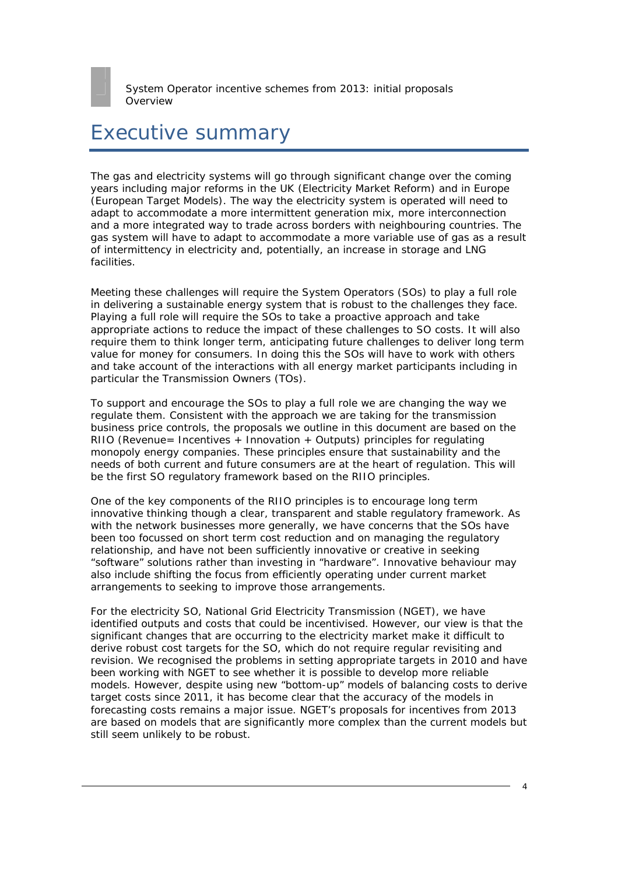# Executive summary

The gas and electricity systems will go through significant change over the coming years including major reforms in the UK (Electricity Market Reform) and in Europe (European Target Models). The way the electricity system is operated will need to adapt to accommodate a more intermittent generation mix, more interconnection and a more integrated way to trade across borders with neighbouring countries. The gas system will have to adapt to accommodate a more variable use of gas as a result of intermittency in electricity and, potentially, an increase in storage and LNG facilities.

Meeting these challenges will require the System Operators (SOs) to play a full role in delivering a sustainable energy system that is robust to the challenges they face. Playing a full role will require the SOs to take a proactive approach and take appropriate actions to reduce the impact of these challenges to SO costs. It will also require them to think longer term, anticipating future challenges to deliver long term value for money for consumers. In doing this the SOs will have to work with others and take account of the interactions with all energy market participants including in particular the Transmission Owners (TOs).

To support and encourage the SOs to play a full role we are changing the way we regulate them. Consistent with the approach we are taking for the transmission business price controls, the proposals we outline in this document are based on the RIIO (Revenue= Incentives + Innovation + Outputs) principles for regulating monopoly energy companies. These principles ensure that sustainability and the needs of both current and future consumers are at the heart of regulation. This will be the first SO regulatory framework based on the RIIO principles.

One of the key components of the RIIO principles is to encourage long term innovative thinking though a clear, transparent and stable regulatory framework. As with the network businesses more generally, we have concerns that the SOs have been too focussed on short term cost reduction and on managing the regulatory relationship, and have not been sufficiently innovative or creative in seeking "software" solutions rather than investing in "hardware". Innovative behaviour may also include shifting the focus from efficiently operating under current market arrangements to seeking to improve those arrangements.

For the electricity SO, National Grid Electricity Transmission (NGET), we have identified outputs and costs that could be incentivised. However, our view is that the significant changes that are occurring to the electricity market make it difficult to derive robust cost targets for the SO, which do not require regular revisiting and revision. We recognised the problems in setting appropriate targets in 2010 and have been working with NGET to see whether it is possible to develop more reliable models. However, despite using new "bottom-up" models of balancing costs to derive target costs since 2011, it has become clear that the accuracy of the models in forecasting costs remains a major issue. NGET's proposals for incentives from 2013 are based on models that are significantly more complex than the current models but still seem unlikely to be robust.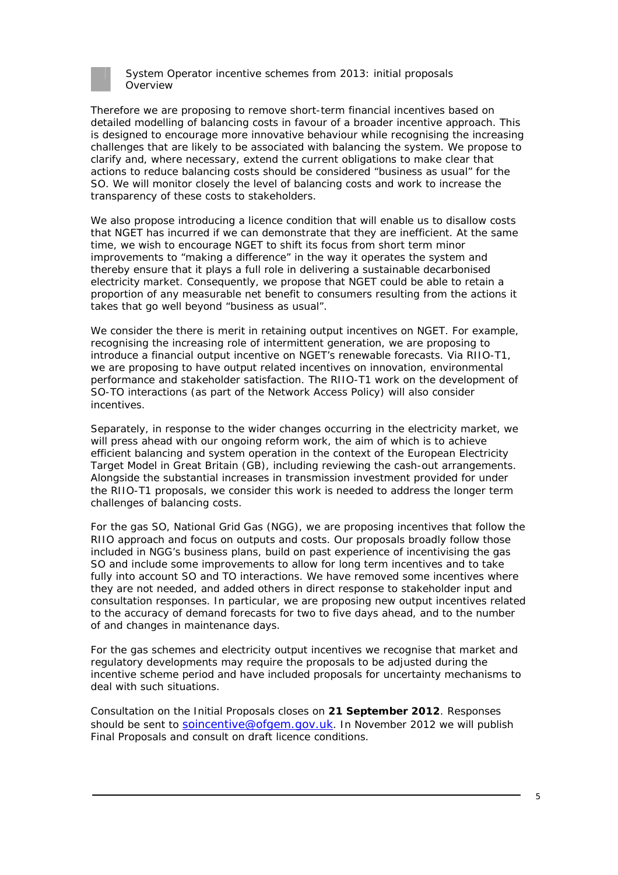

Therefore we are proposing to remove short-term financial incentives based on detailed modelling of balancing costs in favour of a broader incentive approach. This is designed to encourage more innovative behaviour while recognising the increasing challenges that are likely to be associated with balancing the system. We propose to clarify and, where necessary, extend the current obligations to make clear that actions to reduce balancing costs should be considered "business as usual" for the SO. We will monitor closely the level of balancing costs and work to increase the transparency of these costs to stakeholders.

We also propose introducing a licence condition that will enable us to disallow costs that NGET has incurred if we can demonstrate that they are inefficient. At the same time, we wish to encourage NGET to shift its focus from short term minor improvements to "making a difference" in the way it operates the system and thereby ensure that it plays a full role in delivering a sustainable decarbonised electricity market. Consequently, we propose that NGET could be able to retain a proportion of any measurable net benefit to consumers resulting from the actions it takes that go well beyond "business as usual".

We consider the there is merit in retaining output incentives on NGET. For example, recognising the increasing role of intermittent generation, we are proposing to introduce a financial output incentive on NGET's renewable forecasts. Via RIIO-T1, we are proposing to have output related incentives on innovation, environmental performance and stakeholder satisfaction. The RIIO-T1 work on the development of SO-TO interactions (as part of the Network Access Policy) will also consider incentives.

Separately, in response to the wider changes occurring in the electricity market, we will press ahead with our ongoing reform work, the aim of which is to achieve efficient balancing and system operation in the context of the European Electricity Target Model in Great Britain (GB), including reviewing the cash-out arrangements. Alongside the substantial increases in transmission investment provided for under the RIIO-T1 proposals, we consider this work is needed to address the longer term challenges of balancing costs.

For the gas SO, National Grid Gas (NGG), we are proposing incentives that follow the RIIO approach and focus on outputs and costs. Our proposals broadly follow those included in NGG's business plans, build on past experience of incentivising the gas SO and include some improvements to allow for long term incentives and to take fully into account SO and TO interactions. We have removed some incentives where they are not needed, and added others in direct response to stakeholder input and consultation responses. In particular, we are proposing new output incentives related to the accuracy of demand forecasts for two to five days ahead, and to the number of and changes in maintenance days.

For the gas schemes and electricity output incentives we recognise that market and regulatory developments may require the proposals to be adjusted during the incentive scheme period and have included proposals for uncertainty mechanisms to deal with such situations.

*Consultation on the Initial Proposals closes on 21 September 2012. Responses should be sent to* soincentive@ofgem.gov.uk. *In November 2012 we will publish Final Proposals and consult on draft licence conditions.*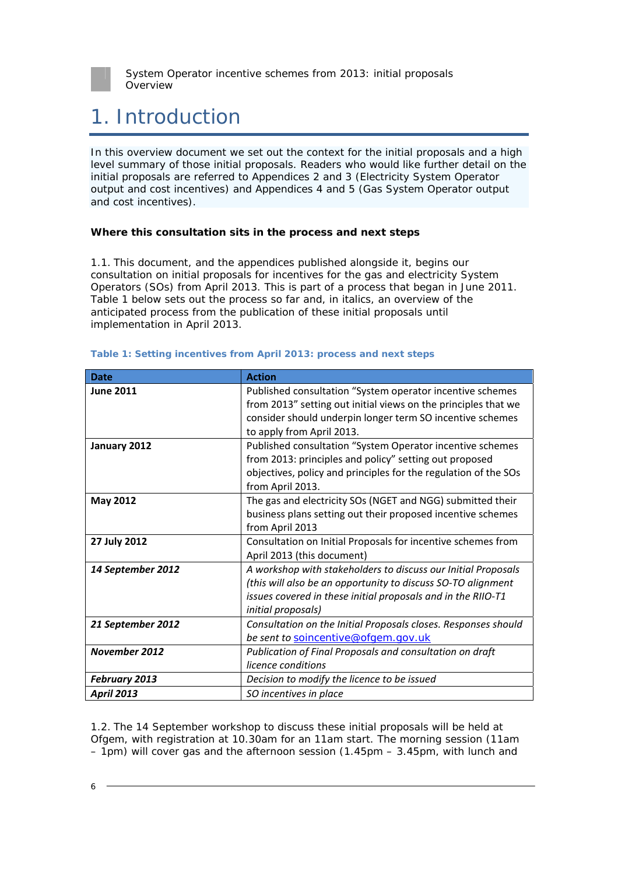

# 1. Introduction

In this overview document we set out the context for the initial proposals and a high level summary of those initial proposals. Readers who would like further detail on the initial proposals are referred to Appendices 2 and 3 (Electricity System Operator output and cost incentives) and Appendices 4 and 5 (Gas System Operator output and cost incentives).

#### **Where this consultation sits in the process and next steps**

1.1. This document, and the appendices published alongside it, begins our consultation on initial proposals for incentives for the gas and electricity System Operators (SOs) from April 2013. This is part of a process that began in June 2011. Table 1 below sets out the process so far and, in italics, an overview of the anticipated process from the publication of these initial proposals until implementation in April 2013.

| <b>Date</b>          | <b>Action</b>                                                   |
|----------------------|-----------------------------------------------------------------|
| <b>June 2011</b>     | Published consultation "System operator incentive schemes       |
|                      | from 2013" setting out initial views on the principles that we  |
|                      | consider should underpin longer term SO incentive schemes       |
|                      | to apply from April 2013.                                       |
| January 2012         | Published consultation "System Operator incentive schemes       |
|                      | from 2013: principles and policy" setting out proposed          |
|                      | objectives, policy and principles for the regulation of the SOs |
|                      | from April 2013.                                                |
| <b>May 2012</b>      | The gas and electricity SOs (NGET and NGG) submitted their      |
|                      | business plans setting out their proposed incentive schemes     |
|                      | from April 2013                                                 |
| 27 July 2012         | Consultation on Initial Proposals for incentive schemes from    |
|                      | April 2013 (this document)                                      |
| 14 September 2012    | A workshop with stakeholders to discuss our Initial Proposals   |
|                      | (this will also be an opportunity to discuss SO-TO alignment    |
|                      | issues covered in these initial proposals and in the RIIO-T1    |
|                      | initial proposals)                                              |
| 21 September 2012    | Consultation on the Initial Proposals closes. Responses should  |
|                      | be sent to soincentive@ofgem.gov.uk                             |
| <b>November 2012</b> | Publication of Final Proposals and consultation on draft        |
|                      | licence conditions                                              |
| <b>February 2013</b> | Decision to modify the licence to be issued                     |
| <b>April 2013</b>    | SO incentives in place                                          |

#### **Table 1: Setting incentives from April 2013: process and next steps**

1.2. The 14 September workshop to discuss these initial proposals will be held at Ofgem, with registration at 10.30am for an 11am start. The morning session (11am – 1pm) will cover gas and the afternoon session (1.45pm – 3.45pm, with lunch and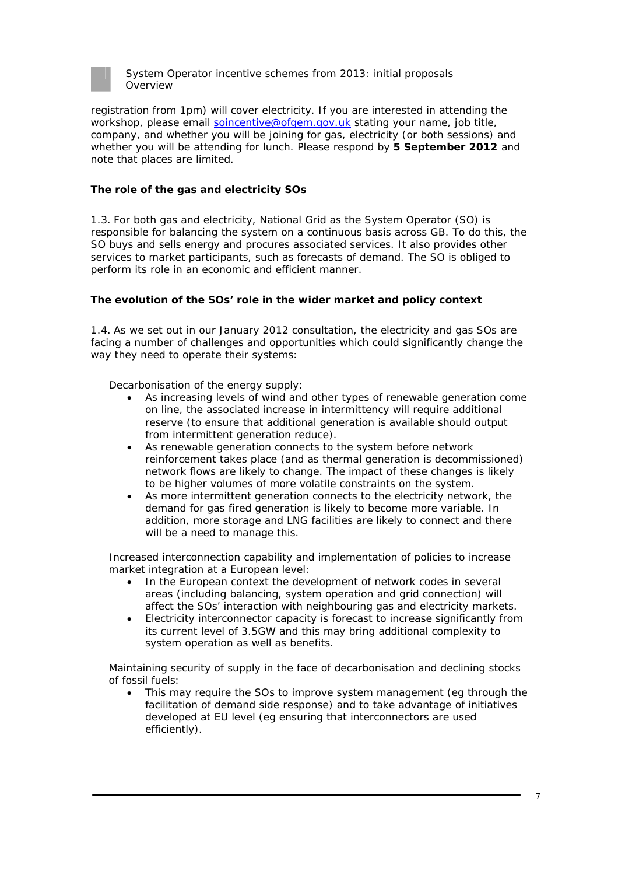

registration from 1pm) will cover electricity. If you are interested in attending the workshop, please email soincentive@ofgem.gov.uk stating your name, job title, company, and whether you will be joining for gas, electricity (or both sessions) and whether you will be attending for lunch. Please respond by **5 September 2012** and note that places are limited.

#### **The role of the gas and electricity SOs**

1.3. For both gas and electricity, National Grid as the System Operator (SO) is responsible for balancing the system on a continuous basis across GB. To do this, the SO buys and sells energy and procures associated services. It also provides other services to market participants, such as forecasts of demand. The SO is obliged to perform its role in an economic and efficient manner.

#### **The evolution of the SOs' role in the wider market and policy context**

1.4. As we set out in our January 2012 consultation, the electricity and gas SOs are facing a number of challenges and opportunities which could significantly change the way they need to operate their systems:

#### *Decarbonisation of the energy supply:*

- As increasing levels of wind and other types of renewable generation come on line, the associated increase in intermittency will require additional reserve (to ensure that additional generation is available should output from intermittent generation reduce).
- As renewable generation connects to the system before network reinforcement takes place (and as thermal generation is decommissioned) network flows are likely to change. The impact of these changes is likely to be higher volumes of more volatile constraints on the system.
- As more intermittent generation connects to the electricity network, the demand for gas fired generation is likely to become more variable. In addition, more storage and LNG facilities are likely to connect and there will be a need to manage this.

*Increased interconnection capability and implementation of policies to increase market integration at a European level:* 

- In the European context the development of network codes in several areas (including balancing, system operation and grid connection) will affect the SOs' interaction with neighbouring gas and electricity markets.
- Electricity interconnector capacity is forecast to increase significantly from its current level of 3.5GW and this may bring additional complexity to system operation as well as benefits.

#### *Maintaining security of supply in the face of decarbonisation and declining stocks of fossil fuels:*

This may require the SOs to improve system management (eg through the facilitation of demand side response) and to take advantage of initiatives developed at EU level (eg ensuring that interconnectors are used efficiently).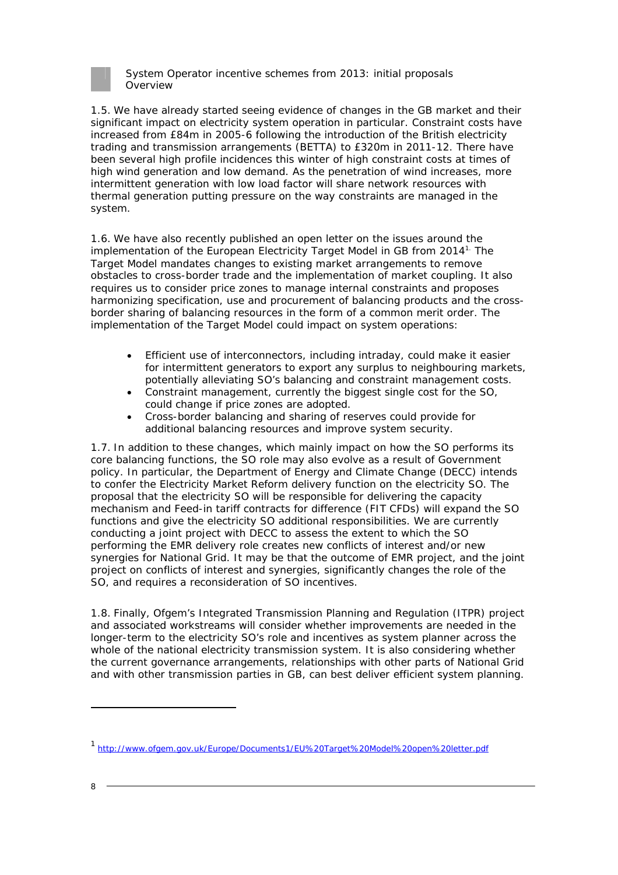

1.5. We have already started seeing evidence of changes in the GB market and their significant impact on electricity system operation in particular. Constraint costs have increased from £84m in 2005-6 following the introduction of the British electricity trading and transmission arrangements (BETTA) to £320m in 2011-12. There have been several high profile incidences this winter of high constraint costs at times of high wind generation and low demand. As the penetration of wind increases, more intermittent generation with low load factor will share network resources with thermal generation putting pressure on the way constraints are managed in the system.

1.6. We have also recently published an open letter on the issues around the implementation of the European Electricity Target Model in GB from 20141. The Target Model mandates changes to existing market arrangements to remove obstacles to cross-border trade and the implementation of market coupling. It also requires us to consider price zones to manage internal constraints and proposes harmonizing specification, use and procurement of balancing products and the crossborder sharing of balancing resources in the form of a common merit order. The implementation of the Target Model could impact on system operations:

- Efficient use of interconnectors, including intraday, could make it easier for intermittent generators to export any surplus to neighbouring markets, potentially alleviating SO's balancing and constraint management costs.
- Constraint management, currently the biggest single cost for the SO, could change if price zones are adopted.
- Cross-border balancing and sharing of reserves could provide for additional balancing resources and improve system security.

1.7. In addition to these changes, which mainly impact on how the SO performs its core balancing functions, the SO role may also evolve as a result of Government policy. In particular, the Department of Energy and Climate Change (DECC) intends to confer the Electricity Market Reform delivery function on the electricity SO. The proposal that the electricity SO will be responsible for delivering the capacity mechanism and Feed-in tariff contracts for difference (FIT CFDs) will expand the SO functions and give the electricity SO additional responsibilities. We are currently conducting a joint project with DECC to assess the extent to which the SO performing the EMR delivery role creates new conflicts of interest and/or new synergies for National Grid. It may be that the outcome of EMR project, and the joint project on conflicts of interest and synergies, significantly changes the role of the SO, and requires a reconsideration of SO incentives.

1.8. Finally, Ofgem's Integrated Transmission Planning and Regulation (ITPR) project and associated workstreams will consider whether improvements are needed in the longer-term to the electricity SO's role and incentives as system planner across the whole of the national electricity transmission system. It is also considering whether the current governance arrangements, relationships with other parts of National Grid and with other transmission parties in GB, can best deliver efficient system planning.

<sup>1</sup> http://www.ofgem.gov.uk/Europe/Documents1/EU%20Target%20Model%20open%20letter.pdf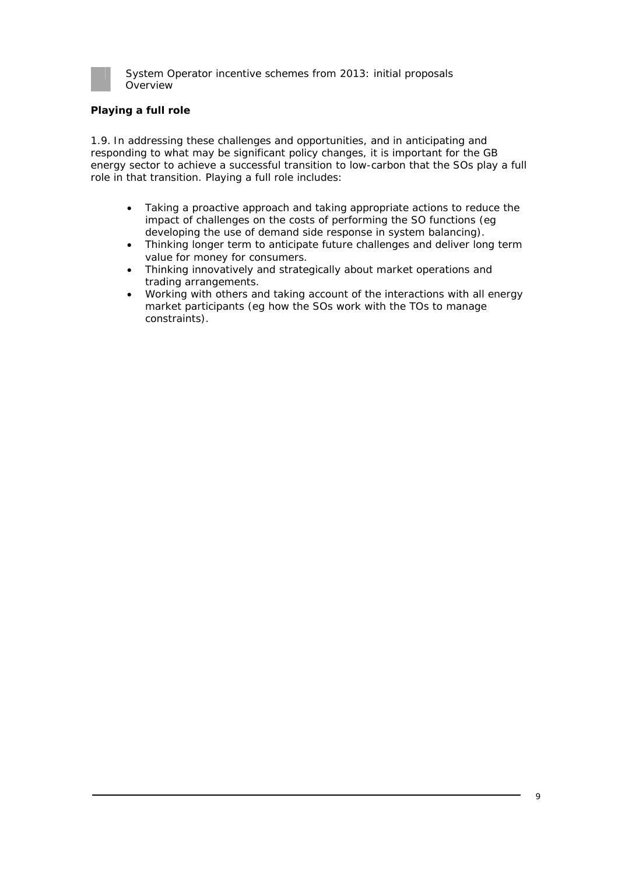

### **Playing a full role**

1.9. In addressing these challenges and opportunities, and in anticipating and responding to what may be significant policy changes, it is important for the GB energy sector to achieve a successful transition to low-carbon that the SOs play a full role in that transition. Playing a full role includes:

- Taking a proactive approach and taking appropriate actions to reduce the impact of challenges on the costs of performing the SO functions (eg developing the use of demand side response in system balancing).
- Thinking longer term to anticipate future challenges and deliver long term value for money for consumers.
- Thinking innovatively and strategically about market operations and trading arrangements.
- Working with others and taking account of the interactions with all energy market participants (eg how the SOs work with the TOs to manage constraints).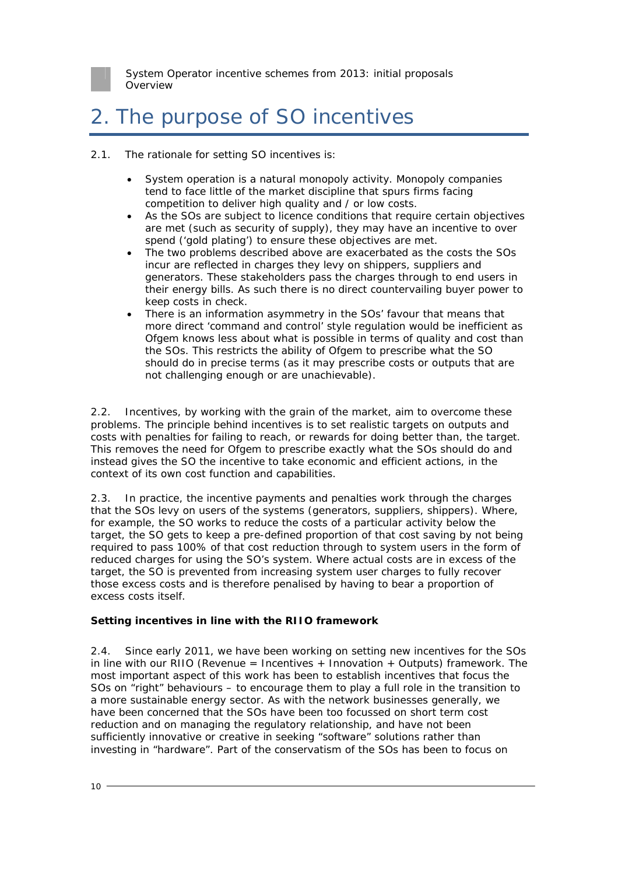

# 2. The purpose of SO incentives

- 2.1. The rationale for setting SO incentives is:
	- System operation is a natural monopoly activity. Monopoly companies tend to face little of the market discipline that spurs firms facing competition to deliver high quality and / or low costs.
	- As the SOs are subject to licence conditions that require certain objectives are met (such as security of supply), they may have an incentive to over spend ('gold plating') to ensure these objectives are met.
	- The two problems described above are exacerbated as the costs the SOs incur are reflected in charges they levy on shippers, suppliers and generators. These stakeholders pass the charges through to end users in their energy bills. As such there is no direct countervailing buyer power to keep costs in check.
	- There is an information asymmetry in the SOs' favour that means that more direct 'command and control' style regulation would be inefficient as Ofgem knows less about what is possible in terms of quality and cost than the SOs. This restricts the ability of Ofgem to prescribe what the SO should do in precise terms (as it may prescribe costs or outputs that are not challenging enough or are unachievable).

2.2. Incentives, by working with the grain of the market, aim to overcome these problems. The principle behind incentives is to set realistic targets on outputs and costs with penalties for failing to reach, or rewards for doing better than, the target. This removes the need for Ofgem to prescribe exactly what the SOs should do and instead gives the SO the incentive to take economic and efficient actions, in the context of its own cost function and capabilities.

2.3. In practice, the incentive payments and penalties work through the charges that the SOs levy on users of the systems (generators, suppliers, shippers). Where, for example, the SO works to reduce the costs of a particular activity below the target, the SO gets to keep a pre-defined proportion of that cost saving by not being required to pass 100% of that cost reduction through to system users in the form of reduced charges for using the SO's system. Where actual costs are in excess of the target, the SO is prevented from increasing system user charges to fully recover those excess costs and is therefore penalised by having to bear a proportion of excess costs itself.

### **Setting incentives in line with the RIIO framework**

2.4. Since early 2011, we have been working on setting new incentives for the SOs in line with our RIIO (Revenue = Incentives  $+$  Innovation  $+$  Outputs) framework. The most important aspect of this work has been to establish incentives that focus the SOs on "right" behaviours – to encourage them to play a full role in the transition to a more sustainable energy sector. As with the network businesses generally, we have been concerned that the SOs have been too focussed on short term cost reduction and on managing the regulatory relationship, and have not been sufficiently innovative or creative in seeking "software" solutions rather than investing in "hardware". Part of the conservatism of the SOs has been to focus on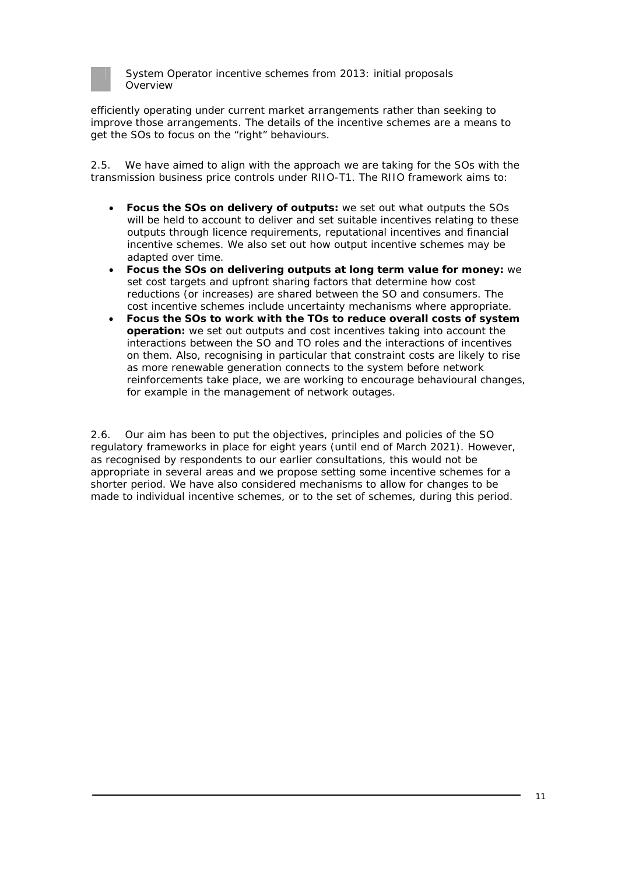

efficiently operating under current market arrangements rather than seeking to improve those arrangements. The details of the incentive schemes are a means to get the SOs to focus on the "right" behaviours.

2.5. We have aimed to align with the approach we are taking for the SOs with the transmission business price controls under RIIO-T1. The RIIO framework aims to:

- **Focus the SOs on delivery of outputs:** we set out what outputs the SOs will be held to account to deliver and set suitable incentives relating to these outputs through licence requirements, reputational incentives and financial incentive schemes. We also set out how output incentive schemes may be adapted over time.
- **Focus the SOs on delivering outputs at long term value for money:** we set cost targets and upfront sharing factors that determine how cost reductions (or increases) are shared between the SO and consumers. The cost incentive schemes include uncertainty mechanisms where appropriate.
- **Focus the SOs to work with the TOs to reduce overall costs of system operation:** we set out outputs and cost incentives taking into account the interactions between the SO and TO roles and the interactions of incentives on them. Also, recognising in particular that constraint costs are likely to rise as more renewable generation connects to the system before network reinforcements take place, we are working to encourage behavioural changes, for example in the management of network outages.

2.6. Our aim has been to put the objectives, principles and policies of the SO regulatory frameworks in place for eight years (until end of March 2021). However, as recognised by respondents to our earlier consultations, this would not be appropriate in several areas and we propose setting some incentive schemes for a shorter period. We have also considered mechanisms to allow for changes to be made to individual incentive schemes, or to the set of schemes, during this period.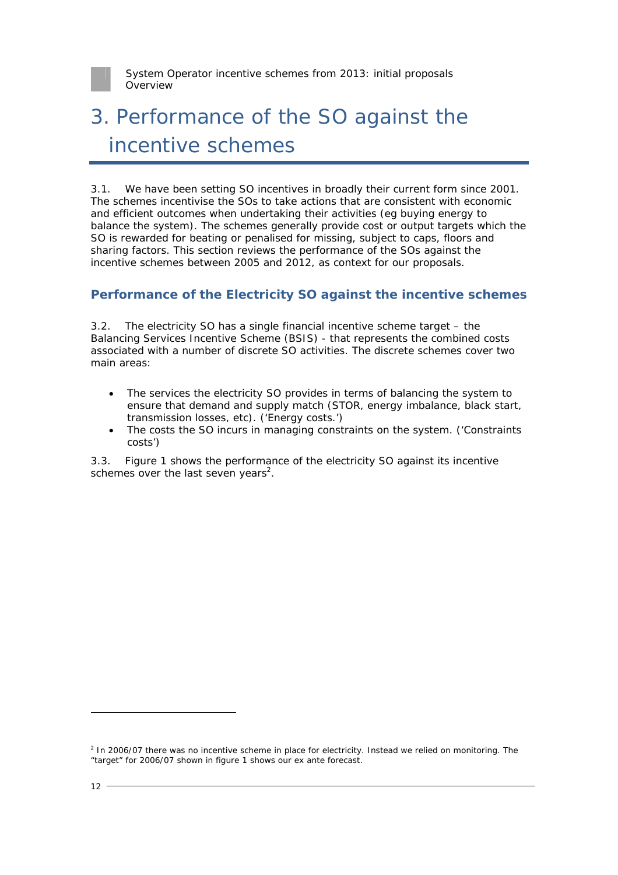

# 3. Performance of the SO against the incentive schemes

3.1. We have been setting SO incentives in broadly their current form since 2001. The schemes incentivise the SOs to take actions that are consistent with economic and efficient outcomes when undertaking their activities (eg buying energy to balance the system). The schemes generally provide cost or output targets which the SO is rewarded for beating or penalised for missing, subject to caps, floors and sharing factors. This section reviews the performance of the SOs against the incentive schemes between 2005 and 2012, as context for our proposals.

## **Performance of the Electricity SO against the incentive schemes**

3.2. The electricity SO has a single financial incentive scheme target – the Balancing Services Incentive Scheme (BSIS) - that represents the combined costs associated with a number of discrete SO activities. The discrete schemes cover two main areas:

- The services the electricity SO provides in terms of balancing the system to ensure that demand and supply match (STOR, energy imbalance, black start, transmission losses, etc). ('Energy costs.')
- The costs the SO incurs in managing constraints on the system. ('Constraints costs')

3.3. Figure 1 shows the performance of the electricity SO against its incentive schemes over the last seven years<sup>2</sup>.

 $<sup>2</sup>$  In 2006/07 there was no incentive scheme in place for electricity. Instead we relied on monitoring. The</sup> "target" for 2006/07 shown in figure 1 shows our ex ante forecast.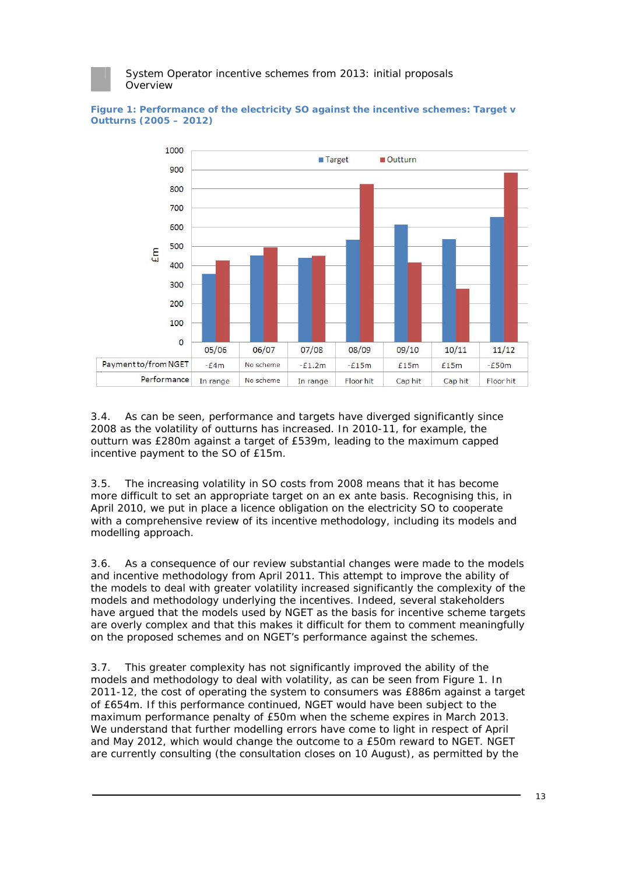

**Figure 1: Performance of the electricity SO against the incentive schemes: Target v Outturns (2005 – 2012)** 

3.4. As can be seen, performance and targets have diverged significantly since 2008 as the volatility of outturns has increased. In 2010-11, for example, the outturn was £280m against a target of £539m, leading to the maximum capped incentive payment to the SO of £15m.

3.5. The increasing volatility in SO costs from 2008 means that it has become more difficult to set an appropriate target on an ex ante basis. Recognising this, in April 2010, we put in place a licence obligation on the electricity SO to cooperate with a comprehensive review of its incentive methodology, including its models and modelling approach.

3.6. As a consequence of our review substantial changes were made to the models and incentive methodology from April 2011. This attempt to improve the ability of the models to deal with greater volatility increased significantly the complexity of the models and methodology underlying the incentives. Indeed, several stakeholders have argued that the models used by NGET as the basis for incentive scheme targets are overly complex and that this makes it difficult for them to comment meaningfully on the proposed schemes and on NGET's performance against the schemes.

3.7. This greater complexity has not significantly improved the ability of the models and methodology to deal with volatility, as can be seen from Figure 1. In 2011-12, the cost of operating the system to consumers was £886m against a target of £654m. If this performance continued, NGET would have been subject to the maximum performance penalty of £50m when the scheme expires in March 2013. We understand that further modelling errors have come to light in respect of April and May 2012, which would change the outcome to a £50m reward to NGET. NGET are currently consulting (the consultation closes on 10 August), as permitted by the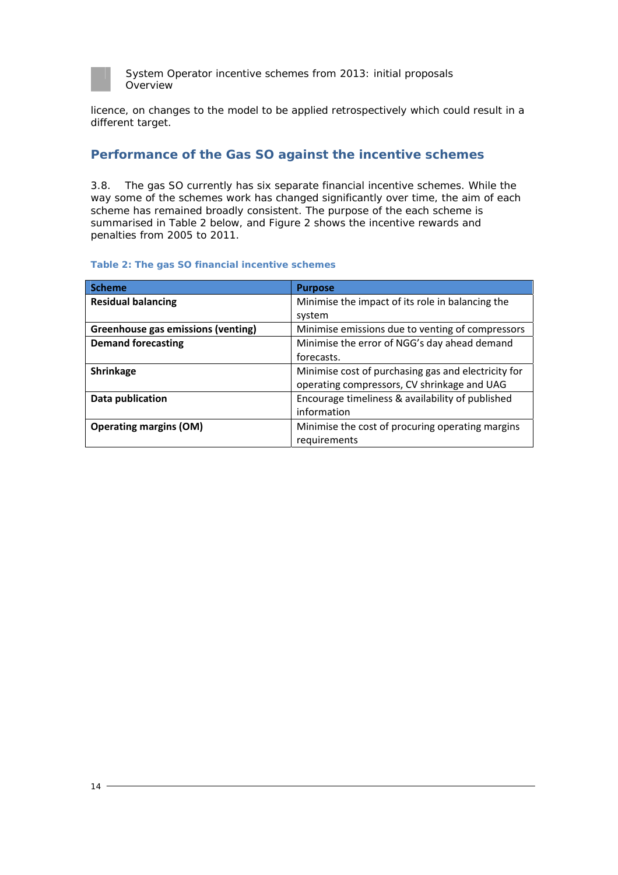

licence, on changes to the model to be applied retrospectively which could result in a different target.

## **Performance of the Gas SO against the incentive schemes**

3.8. The gas SO currently has six separate financial incentive schemes. While the way some of the schemes work has changed significantly over time, the aim of each scheme has remained broadly consistent. The purpose of the each scheme is summarised in Table 2 below, and Figure 2 shows the incentive rewards and penalties from 2005 to 2011.

#### **Table 2: The gas SO financial incentive schemes**

| <b>Scheme</b>                      | <b>Purpose</b>                                      |
|------------------------------------|-----------------------------------------------------|
| <b>Residual balancing</b>          | Minimise the impact of its role in balancing the    |
|                                    | system                                              |
| Greenhouse gas emissions (venting) | Minimise emissions due to venting of compressors    |
| <b>Demand forecasting</b>          | Minimise the error of NGG's day ahead demand        |
|                                    | forecasts.                                          |
| Shrinkage                          | Minimise cost of purchasing gas and electricity for |
|                                    | operating compressors, CV shrinkage and UAG         |
| Data publication                   | Encourage timeliness & availability of published    |
|                                    | information                                         |
| <b>Operating margins (OM)</b>      | Minimise the cost of procuring operating margins    |
|                                    | requirements                                        |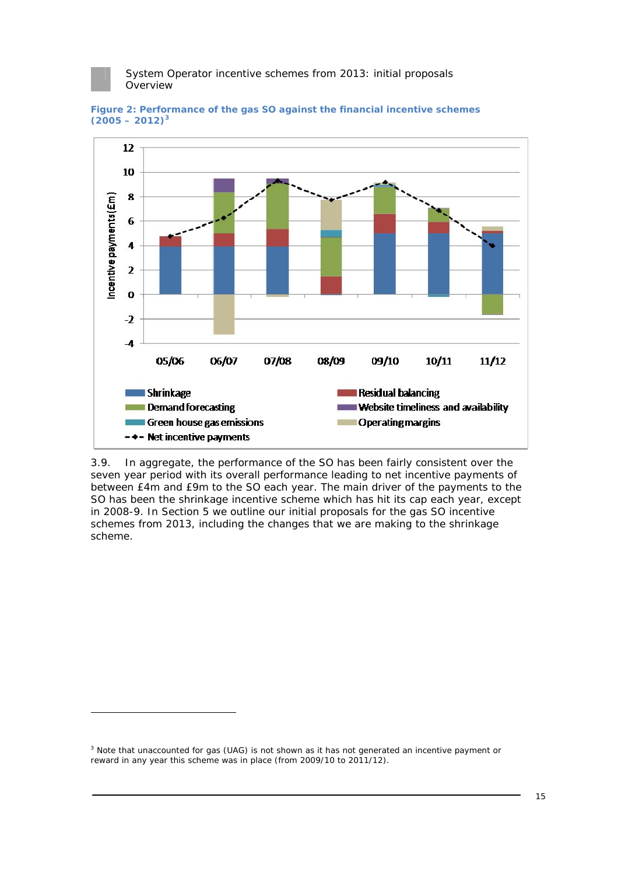





3.9. In aggregate, the performance of the SO has been fairly consistent over the seven year period with its overall performance leading to net incentive payments of between £4m and £9m to the SO each year. The main driver of the payments to the SO has been the shrinkage incentive scheme which has hit its cap each year, except in 2008-9. In Section 5 we outline our initial proposals for the gas SO incentive schemes from 2013, including the changes that we are making to the shrinkage scheme.

 $3$  Note that unaccounted for gas (UAG) is not shown as it has not generated an incentive payment or reward in any year this scheme was in place (from 2009/10 to 2011/12).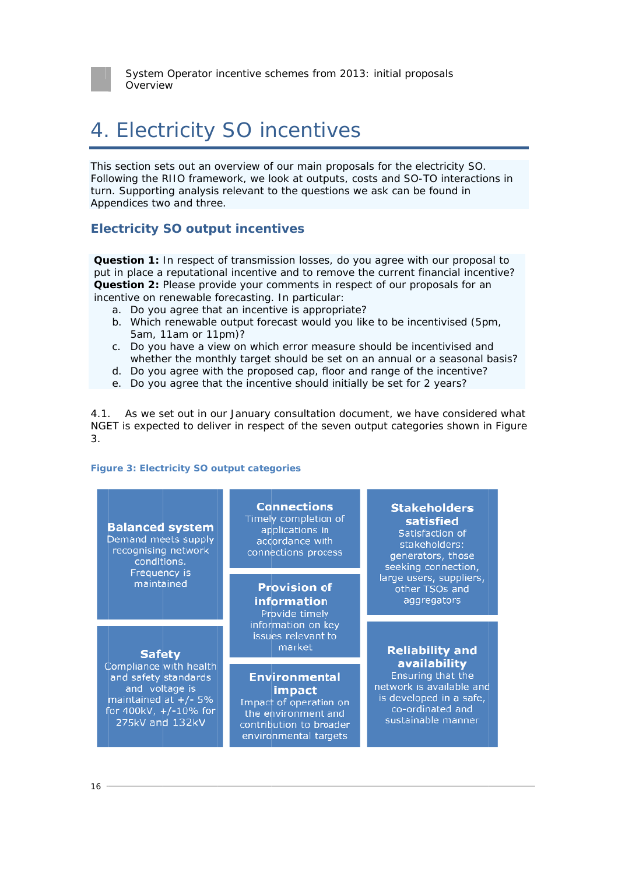

## 4. Electricity SO incentives

This section sets out an overview of our main proposals for the electricity SO. Following the RIIO framework, we look at outputs, costs and SO-TO interactions in turn. Supporting analysis relevant to the questions we ask can be found in Appendices two and three.

### **Electricity SO output incentives**

**Question 1:** In respect of transmission losses, do you agree with our proposal to put in place a reputational incentive and to remove the current financial incentive? **Question 2:** Please provide your comments in respect of our proposals for an incentive on renewable forecasting. In particular: estion 2: Please provide your comments in respect of our proposals for an<br>entive on renewable forecasting. In particular:<br>a. Do you agree that an incentive is appropriate?<br>b. Which renewable output forecast would you like

- a. Do you agree that an incentive is appropriate?
- 5am, 1 11am or 11 1pm)?
- c. Do you have a view on which error measure should be incentivised and Do you have a view on which error measure should be incentivised and<br>whether the monthly target should be set on an annual or a seasonal basis?
- d. Do you agree with the proposed cap, floor and range of the incentive?
- e. Do you agree that the incentive should initially be set for 2 years?

4.1 NGET is expected to deliver in respect of the seven output categories shown in Figure 3. . As we set out in our January consultation document, we have considered what

#### **Figure 3: Electricity SO output categories**

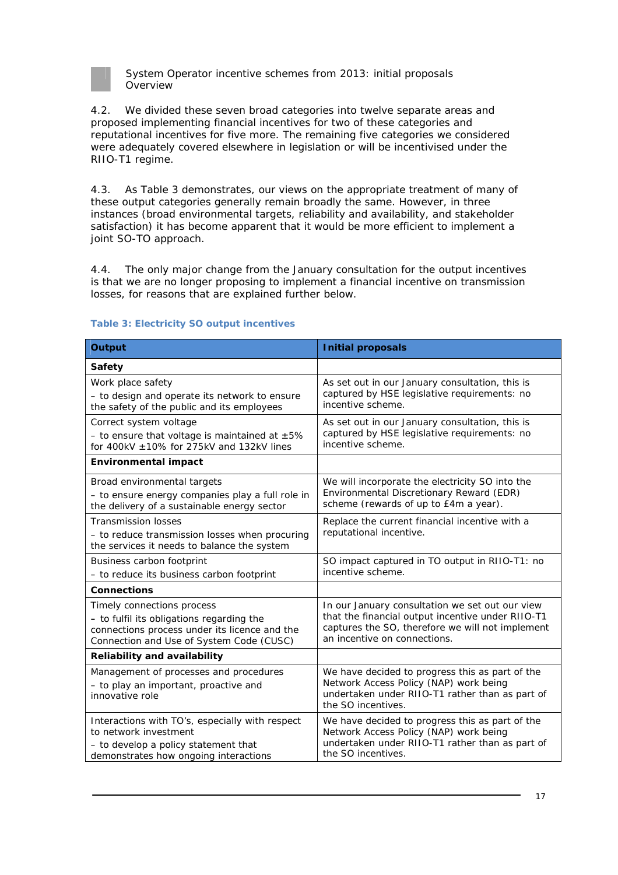

4.2. We divided these seven broad categories into twelve separate areas and proposed implementing financial incentives for two of these categories and reputational incentives for five more. The remaining five categories we considered were adequately covered elsewhere in legislation or will be incentivised under the RIIO-T1 regime.

4.3. As Table 3 demonstrates, our views on the appropriate treatment of many of these output categories generally remain broadly the same. However, in three instances (broad environmental targets, reliability and availability, and stakeholder satisfaction) it has become apparent that it would be more efficient to implement a joint SO-TO approach.

4.4. The only major change from the January consultation for the output incentives is that we are no longer proposing to implement a financial incentive on transmission losses, for reasons that are explained further below.

| <b>Output</b>                                                                                                                                                        | <b>Initial proposals</b>                                                                                                                                                                 |  |
|----------------------------------------------------------------------------------------------------------------------------------------------------------------------|------------------------------------------------------------------------------------------------------------------------------------------------------------------------------------------|--|
| <b>Safety</b>                                                                                                                                                        |                                                                                                                                                                                          |  |
| Work place safety<br>- to design and operate its network to ensure<br>the safety of the public and its employees                                                     | As set out in our January consultation, this is<br>captured by HSE legislative requirements: no<br>incentive scheme.                                                                     |  |
| Correct system voltage<br>- to ensure that voltage is maintained at $\pm 5\%$<br>for 400kV $\pm$ 10% for 275kV and 132kV lines                                       | As set out in our January consultation, this is<br>captured by HSE legislative requirements: no<br>incentive scheme.                                                                     |  |
| <b>Environmental impact</b>                                                                                                                                          |                                                                                                                                                                                          |  |
| Broad environmental targets<br>- to ensure energy companies play a full role in<br>the delivery of a sustainable energy sector                                       | We will incorporate the electricity SO into the<br>Environmental Discretionary Reward (EDR)<br>scheme (rewards of up to £4m a year).                                                     |  |
| <b>Transmission losses</b><br>- to reduce transmission losses when procuring<br>the services it needs to balance the system                                          | Replace the current financial incentive with a<br>reputational incentive.                                                                                                                |  |
| Business carbon footprint<br>- to reduce its business carbon footprint                                                                                               | SO impact captured in TO output in RIIO-T1: no<br>incentive scheme.                                                                                                                      |  |
| <b>Connections</b>                                                                                                                                                   |                                                                                                                                                                                          |  |
| Timely connections process<br>- to fulfil its obligations regarding the<br>connections process under its licence and the<br>Connection and Use of System Code (CUSC) | In our January consultation we set out our view<br>that the financial output incentive under RIIO-T1<br>captures the SO, therefore we will not implement<br>an incentive on connections. |  |
| <b>Reliability and availability</b>                                                                                                                                  |                                                                                                                                                                                          |  |
| Management of processes and procedures<br>- to play an important, proactive and<br>innovative role                                                                   | We have decided to progress this as part of the<br>Network Access Policy (NAP) work being<br>undertaken under RIIO-T1 rather than as part of<br>the SO incentives.                       |  |
| Interactions with TO's, especially with respect<br>to network investment<br>- to develop a policy statement that<br>demonstrates how ongoing interactions            | We have decided to progress this as part of the<br>Network Access Policy (NAP) work being<br>undertaken under RIIO-T1 rather than as part of<br>the SO incentives.                       |  |

#### **Table 3: Electricity SO output incentives**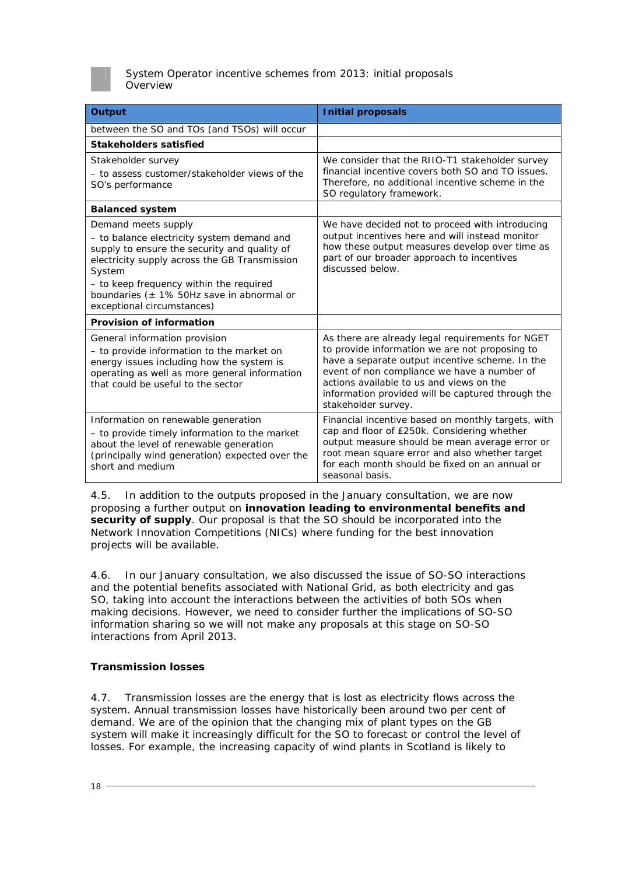

| <b>Output</b>                                                                                                                                                                                                                                                                                           | <b>Initial proposals</b>                                                                                                                                                                                                                                                                                                     |
|---------------------------------------------------------------------------------------------------------------------------------------------------------------------------------------------------------------------------------------------------------------------------------------------------------|------------------------------------------------------------------------------------------------------------------------------------------------------------------------------------------------------------------------------------------------------------------------------------------------------------------------------|
| between the SO and TOs (and TSOs) will occur                                                                                                                                                                                                                                                            |                                                                                                                                                                                                                                                                                                                              |
| <b>Stakeholders satisfied</b>                                                                                                                                                                                                                                                                           |                                                                                                                                                                                                                                                                                                                              |
| Stakeholder survey<br>- to assess customer/stakeholder views of the<br>SO's performance                                                                                                                                                                                                                 | We consider that the RIIO-T1 stakeholder survey<br>financial incentive covers both SO and TO issues.<br>Therefore, no additional incentive scheme in the<br>SO regulatory framework.                                                                                                                                         |
| <b>Balanced system</b>                                                                                                                                                                                                                                                                                  |                                                                                                                                                                                                                                                                                                                              |
| Demand meets supply<br>- to balance electricity system demand and<br>supply to ensure the security and quality of<br>electricity supply across the GB Transmission<br>System<br>- to keep frequency within the required<br>boundaries ( $\pm$ 1% 50Hz save in abnormal or<br>exceptional circumstances) | We have decided not to proceed with introducing<br>output incentives here and will instead monitor<br>how these output measures develop over time as<br>part of our broader approach to incentives<br>discussed below.                                                                                                       |
| <b>Provision of information</b>                                                                                                                                                                                                                                                                         |                                                                                                                                                                                                                                                                                                                              |
| General information provision<br>- to provide information to the market on<br>energy issues including how the system is<br>operating as well as more general information<br>that could be useful to the sector                                                                                          | As there are already legal requirements for NGET<br>to provide information we are not proposing to<br>have a separate output incentive scheme. In the<br>event of non compliance we have a number of<br>actions available to us and views on the<br>information provided will be captured through the<br>stakeholder survey. |
| Information on renewable generation<br>- to provide timely information to the market<br>about the level of renewable generation<br>(principally wind generation) expected over the<br>short and medium                                                                                                  | Financial incentive based on monthly targets, with<br>cap and floor of £250k. Considering whether<br>output measure should be mean average error or<br>root mean square error and also whether target<br>for each month should be fixed on an annual or<br>seasonal basis.                                                   |

4.5. In addition to the outputs proposed in the January consultation, we are now proposing a further output on **innovation leading to environmental benefits and security of supply**. Our proposal is that the SO should be incorporated into the Network Innovation Competitions (NICs) where funding for the best innovation projects will be available.

4.6. In our January consultation, we also discussed the issue of SO-SO interactions and the potential benefits associated with National Grid, as both electricity and gas SO, taking into account the interactions between the activities of both SOs when making decisions. However, we need to consider further the implications of SO-SO information sharing so we will not make any proposals at this stage on SO-SO interactions from April 2013.

#### **Transmission losses**

4.7. Transmission losses are the energy that is lost as electricity flows across the system. Annual transmission losses have historically been around two per cent of demand. We are of the opinion that the changing mix of plant types on the GB system will make it increasingly difficult for the SO to forecast or control the level of losses. For example, the increasing capacity of wind plants in Scotland is likely to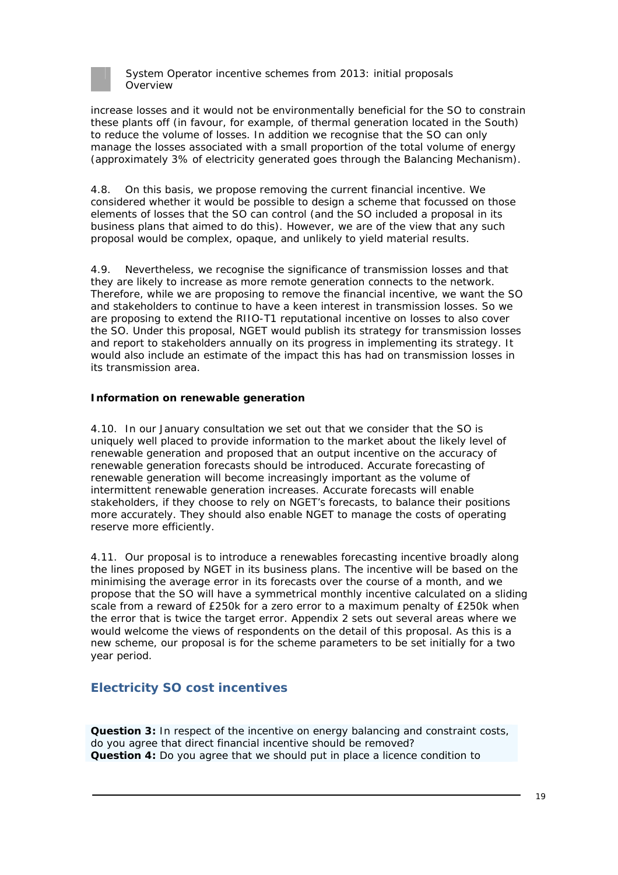

increase losses and it would not be environmentally beneficial for the SO to constrain these plants off (in favour, for example, of thermal generation located in the South) to reduce the volume of losses. In addition we recognise that the SO can only manage the losses associated with a small proportion of the total volume of energy (approximately 3% of electricity generated goes through the Balancing Mechanism).

4.8. On this basis, we propose removing the current financial incentive. We considered whether it would be possible to design a scheme that focussed on those elements of losses that the SO can control (and the SO included a proposal in its business plans that aimed to do this). However, we are of the view that any such proposal would be complex, opaque, and unlikely to yield material results.

4.9. Nevertheless, we recognise the significance of transmission losses and that they are likely to increase as more remote generation connects to the network. Therefore, while we are proposing to remove the financial incentive, we want the SO and stakeholders to continue to have a keen interest in transmission losses. So we are proposing to extend the RIIO-T1 reputational incentive on losses to also cover the SO. Under this proposal, NGET would publish its strategy for transmission losses and report to stakeholders annually on its progress in implementing its strategy. It would also include an estimate of the impact this has had on transmission losses in its transmission area.

#### **Information on renewable generation**

4.10. In our January consultation we set out that we consider that the SO is uniquely well placed to provide information to the market about the likely level of renewable generation and proposed that an output incentive on the accuracy of renewable generation forecasts should be introduced. Accurate forecasting of renewable generation will become increasingly important as the volume of intermittent renewable generation increases. Accurate forecasts will enable stakeholders, if they choose to rely on NGET's forecasts, to balance their positions more accurately. They should also enable NGET to manage the costs of operating reserve more efficiently.

4.11. Our proposal is to introduce a renewables forecasting incentive broadly along the lines proposed by NGET in its business plans. The incentive will be based on the minimising the average error in its forecasts over the course of a month, and we propose that the SO will have a symmetrical monthly incentive calculated on a sliding scale from a reward of £250k for a zero error to a maximum penalty of £250k when the error that is twice the target error. Appendix 2 sets out several areas where we would welcome the views of respondents on the detail of this proposal. As this is a new scheme, our proposal is for the scheme parameters to be set initially for a two year period.

## **Electricity SO cost incentives**

**Question 3:** In respect of the incentive on energy balancing and constraint costs, do you agree that direct financial incentive should be removed? **Question 4:** Do you agree that we should put in place a licence condition to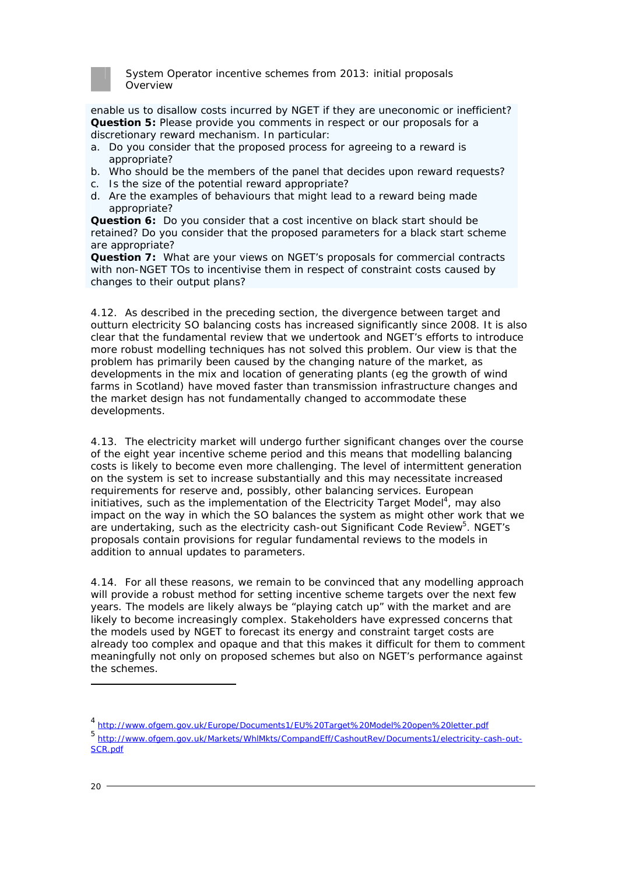

enable us to disallow costs incurred by NGET if they are uneconomic or inefficient? **Question 5:** Please provide you comments in respect or our proposals for a discretionary reward mechanism. In particular:

- a. Do you consider that the proposed process for agreeing to a reward is appropriate?
- b. Who should be the members of the panel that decides upon reward requests?
- c. Is the size of the potential reward appropriate?
- d. Are the examples of behaviours that might lead to a reward being made appropriate?

**Question 6:** Do you consider that a cost incentive on black start should be retained? Do you consider that the proposed parameters for a black start scheme are appropriate?

**Question 7:** What are your views on NGET's proposals for commercial contracts with non-NGET TOs to incentivise them in respect of constraint costs caused by changes to their output plans?

4.12. As described in the preceding section, the divergence between target and outturn electricity SO balancing costs has increased significantly since 2008. It is also clear that the fundamental review that we undertook and NGET's efforts to introduce more robust modelling techniques has not solved this problem. Our view is that the problem has primarily been caused by the changing nature of the market, as developments in the mix and location of generating plants (eg the growth of wind farms in Scotland) have moved faster than transmission infrastructure changes and the market design has not fundamentally changed to accommodate these developments.

4.13. The electricity market will undergo further significant changes over the course of the eight year incentive scheme period and this means that modelling balancing costs is likely to become even more challenging. The level of intermittent generation on the system is set to increase substantially and this may necessitate increased requirements for reserve and, possibly, other balancing services. European initiatives, such as the implementation of the Electricity Target Model<sup>4</sup>, may also impact on the way in which the SO balances the system as might other work that we are undertaking, such as the electricity cash-out Significant Code Review<sup>5</sup>. NGET's proposals contain provisions for regular fundamental reviews to the models in addition to annual updates to parameters.

4.14. For all these reasons, we remain to be convinced that any modelling approach will provide a robust method for setting incentive scheme targets over the next few years. The models are likely always be "playing catch up" with the market and are likely to become increasingly complex. Stakeholders have expressed concerns that the models used by NGET to forecast its energy and constraint target costs are already too complex and opaque and that this makes it difficult for them to comment meaningfully not only on proposed schemes but also on NGET's performance against the schemes.

<sup>4</sup> http://www.ofgem.gov.uk/Europe/Documents1/EU%20Target%20Model%20open%20letter.pdf

<sup>5</sup> http://www.ofgem.gov.uk/Markets/WhlMkts/CompandEff/CashoutRev/Documents1/electricity-cash-out-SCR.pdf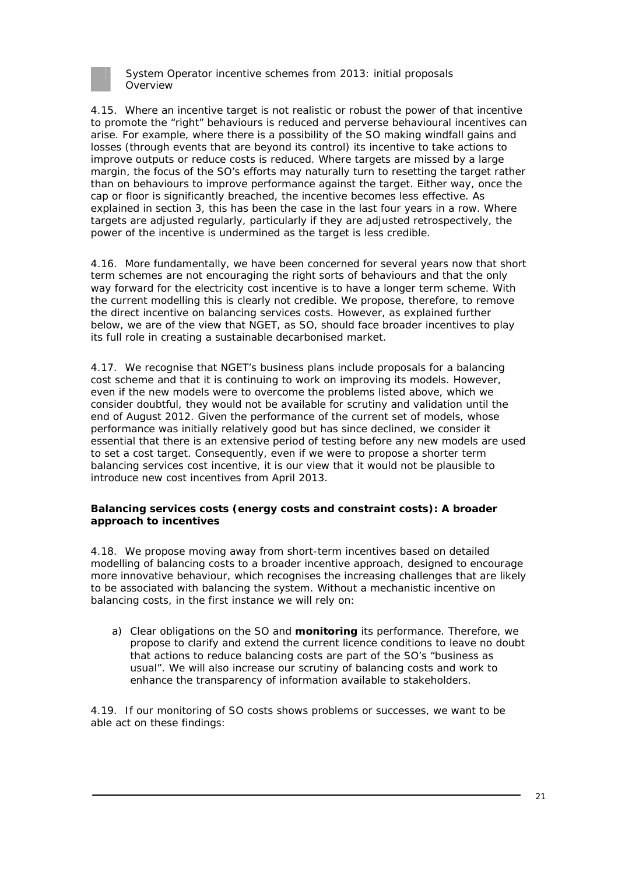

4.15. Where an incentive target is not realistic or robust the power of that incentive to promote the "right" behaviours is reduced and perverse behavioural incentives can arise. For example, where there is a possibility of the SO making windfall gains and losses (through events that are beyond its control) its incentive to take actions to improve outputs or reduce costs is reduced. Where targets are missed by a large margin, the focus of the SO's efforts may naturally turn to resetting the target rather than on behaviours to improve performance against the target. Either way, once the cap or floor is significantly breached, the incentive becomes less effective. As explained in section 3, this has been the case in the last four years in a row. Where targets are adjusted regularly, particularly if they are adjusted retrospectively, the power of the incentive is undermined as the target is less credible.

4.16. More fundamentally, we have been concerned for several years now that short term schemes are not encouraging the right sorts of behaviours and that the only way forward for the electricity cost incentive is to have a longer term scheme. With the current modelling this is clearly not credible. We propose, therefore, to remove the direct incentive on balancing services costs. However, as explained further below, we are of the view that NGET, as SO, should face broader incentives to play its full role in creating a sustainable decarbonised market.

4.17. We recognise that NGET's business plans include proposals for a balancing cost scheme and that it is continuing to work on improving its models. However, even if the new models were to overcome the problems listed above, which we consider doubtful, they would not be available for scrutiny and validation until the end of August 2012. Given the performance of the current set of models, whose performance was initially relatively good but has since declined, we consider it essential that there is an extensive period of testing before any new models are used to set a cost target. Consequently, even if we were to propose a shorter term balancing services cost incentive, it is our view that it would not be plausible to introduce new cost incentives from April 2013.

#### **Balancing services costs (energy costs and constraint costs): A broader approach to incentives**

4.18. We propose moving away from short-term incentives based on detailed modelling of balancing costs to a broader incentive approach, designed to encourage more innovative behaviour, which recognises the increasing challenges that are likely to be associated with balancing the system. Without a mechanistic incentive on balancing costs, in the first instance we will rely on:

a) Clear obligations on the SO and **monitoring** its performance. Therefore, we propose to clarify and extend the current licence conditions to leave no doubt that actions to reduce balancing costs are part of the SO's "business as usual". We will also increase our scrutiny of balancing costs and work to enhance the transparency of information available to stakeholders.

4.19. If our monitoring of SO costs shows problems or successes, we want to be able act on these findings: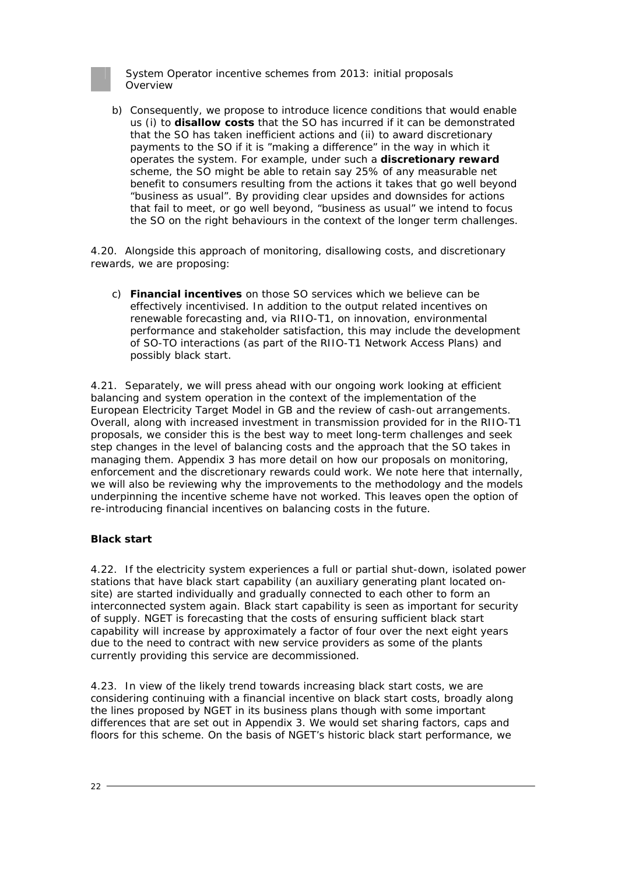

b) Consequently, we propose to introduce licence conditions that would enable us (i) to **disallow costs** that the SO has incurred if it can be demonstrated that the SO has taken inefficient actions and (ii) to award discretionary payments to the SO if it is "making a difference" in the way in which it operates the system. For example, under such a **discretionary reward** scheme, the SO might be able to retain say 25% of any measurable net benefit to consumers resulting from the actions it takes that go well beyond "business as usual". By providing clear upsides and downsides for actions that fail to meet, or go well beyond, "business as usual" we intend to focus the SO on the right behaviours in the context of the longer term challenges.

4.20. Alongside this approach of monitoring, disallowing costs, and discretionary rewards, we are proposing:

c) **Financial incentives** on those SO services which we believe can be effectively incentivised. In addition to the output related incentives on renewable forecasting and, via RIIO-T1, on innovation, environmental performance and stakeholder satisfaction, this may include the development of SO-TO interactions (as part of the RIIO-T1 Network Access Plans) and possibly black start.

4.21. Separately, we will press ahead with our ongoing work looking at efficient balancing and system operation in the context of the implementation of the European Electricity Target Model in GB and the review of cash-out arrangements. Overall, along with increased investment in transmission provided for in the RIIO-T1 proposals, we consider this is the best way to meet long-term challenges and seek step changes in the level of balancing costs and the approach that the SO takes in managing them. Appendix 3 has more detail on how our proposals on monitoring, enforcement and the discretionary rewards could work. We note here that internally, we will also be reviewing why the improvements to the methodology and the models underpinning the incentive scheme have not worked. This leaves open the option of re-introducing financial incentives on balancing costs in the future.

#### **Black start**

4.22. If the electricity system experiences a full or partial shut-down, isolated power stations that have black start capability (an auxiliary generating plant located onsite) are started individually and gradually connected to each other to form an interconnected system again. Black start capability is seen as important for security of supply. NGET is forecasting that the costs of ensuring sufficient black start capability will increase by approximately a factor of four over the next eight years due to the need to contract with new service providers as some of the plants currently providing this service are decommissioned.

4.23. In view of the likely trend towards increasing black start costs, we are considering continuing with a financial incentive on black start costs, broadly along the lines proposed by NGET in its business plans though with some important differences that are set out in Appendix 3. We would set sharing factors, caps and floors for this scheme. On the basis of NGET's historic black start performance, we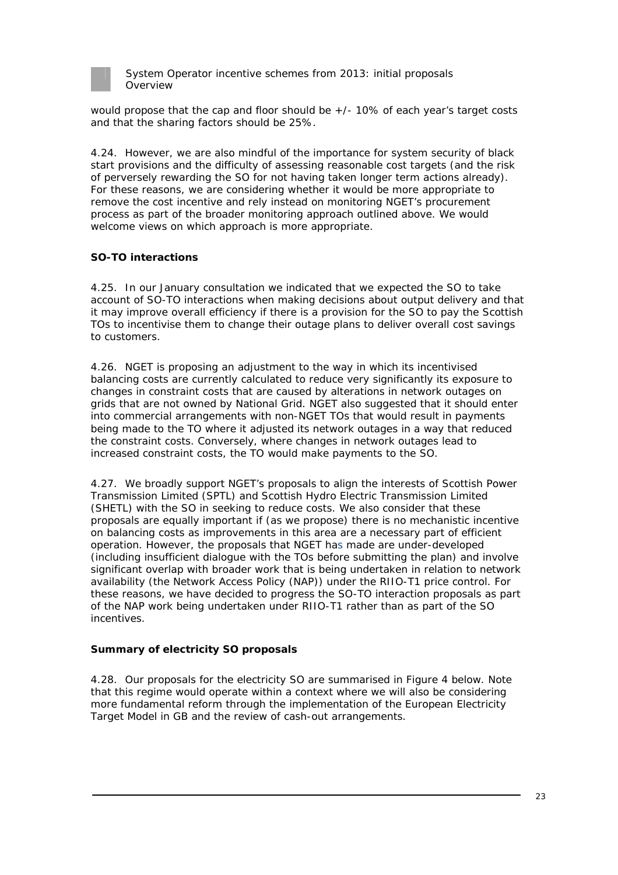

would propose that the cap and floor should be  $+/-10\%$  of each year's target costs and that the sharing factors should be 25%.

4.24. However, we are also mindful of the importance for system security of black start provisions and the difficulty of assessing reasonable cost targets (and the risk of perversely rewarding the SO for not having taken longer term actions already). For these reasons, we are considering whether it would be more appropriate to remove the cost incentive and rely instead on monitoring NGET's procurement process as part of the broader monitoring approach outlined above. We would welcome views on which approach is more appropriate.

### **SO-TO interactions**

4.25. In our January consultation we indicated that we expected the SO to take account of SO-TO interactions when making decisions about output delivery and that it may improve overall efficiency if there is a provision for the SO to pay the Scottish TOs to incentivise them to change their outage plans to deliver overall cost savings to customers.

4.26. NGET is proposing an adjustment to the way in which its incentivised balancing costs are currently calculated to reduce very significantly its exposure to changes in constraint costs that are caused by alterations in network outages on grids that are not owned by National Grid. NGET also suggested that it should enter into commercial arrangements with non-NGET TOs that would result in payments being made to the TO where it adjusted its network outages in a way that reduced the constraint costs. Conversely, where changes in network outages lead to increased constraint costs, the TO would make payments to the SO.

4.27. We broadly support NGET's proposals to align the interests of Scottish Power Transmission Limited (SPTL) and Scottish Hydro Electric Transmission Limited (SHETL) with the SO in seeking to reduce costs. We also consider that these proposals are equally important if (as we propose) there is no mechanistic incentive on balancing costs as improvements in this area are a necessary part of efficient operation. However, the proposals that NGET has made are under-developed (including insufficient dialogue with the TOs before submitting the plan) and involve significant overlap with broader work that is being undertaken in relation to network availability (the Network Access Policy (NAP)) under the RIIO-T1 price control. For these reasons, we have decided to progress the SO-TO interaction proposals as part of the NAP work being undertaken under RIIO-T1 rather than as part of the SO incentives.

#### **Summary of electricity SO proposals**

4.28. Our proposals for the electricity SO are summarised in Figure 4 below. Note that this regime would operate within a context where we will also be considering more fundamental reform through the implementation of the European Electricity Target Model in GB and the review of cash-out arrangements.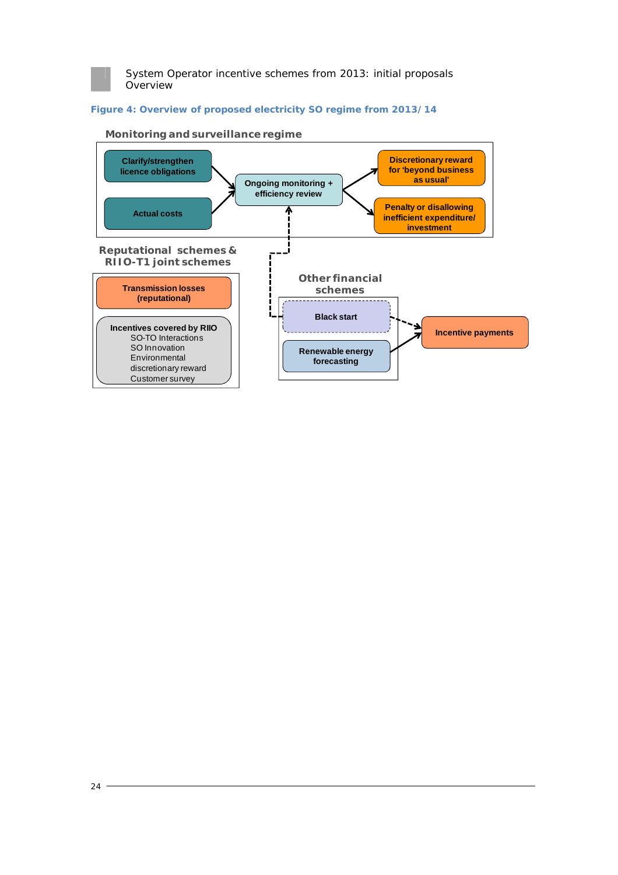

#### **Figure 4: Overview of proposed electricity SO regime from 2013/14**



#### **Monitoring and surveillance regime**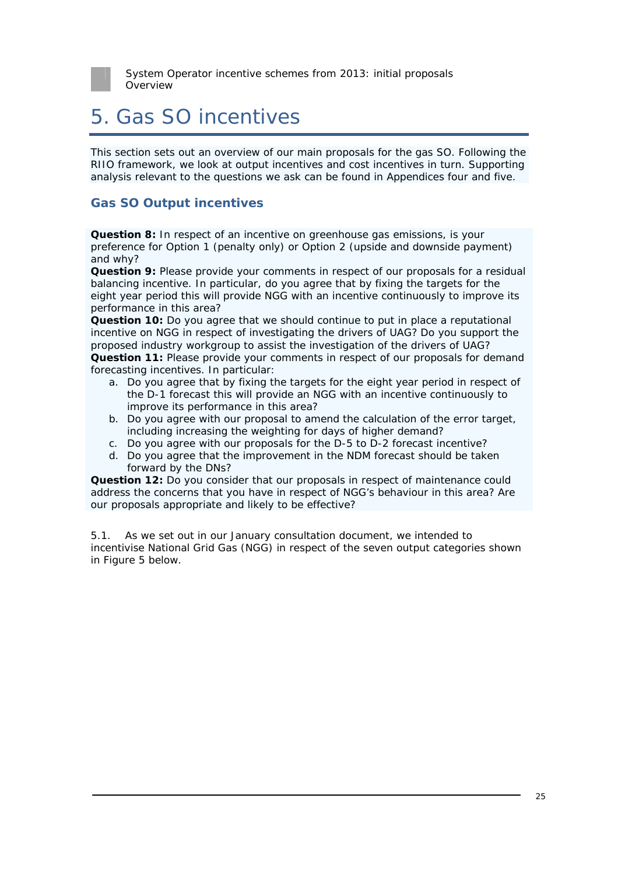

# 5. Gas SO incentives

This section sets out an overview of our main proposals for the gas SO. Following the RIIO framework, we look at output incentives and cost incentives in turn. Supporting analysis relevant to the questions we ask can be found in Appendices four and five.

## **Gas SO Output incentives**

**Question 8:** In respect of an incentive on greenhouse gas emissions, is your preference for Option 1 (penalty only) or Option 2 (upside and downside payment) and why?

**Question 9:** Please provide your comments in respect of our proposals for a residual balancing incentive. In particular, do you agree that by fixing the targets for the eight year period this will provide NGG with an incentive continuously to improve its performance in this area?

**Question 10:** Do you agree that we should continue to put in place a reputational incentive on NGG in respect of investigating the drivers of UAG? Do you support the proposed industry workgroup to assist the investigation of the drivers of UAG? **Question 11:** Please provide your comments in respect of our proposals for demand forecasting incentives. In particular:

- a. Do you agree that by fixing the targets for the eight year period in respect of the D-1 forecast this will provide an NGG with an incentive continuously to improve its performance in this area?
- b. Do you agree with our proposal to amend the calculation of the error target, including increasing the weighting for days of higher demand?
- c. Do you agree with our proposals for the D-5 to D-2 forecast incentive?
- d. Do you agree that the improvement in the NDM forecast should be taken forward by the DNs?

**Question 12:** Do you consider that our proposals in respect of maintenance could address the concerns that you have in respect of NGG's behaviour in this area? Are our proposals appropriate and likely to be effective?

5.1. As we set out in our January consultation document, we intended to incentivise National Grid Gas (NGG) in respect of the seven output categories shown in Figure 5 below.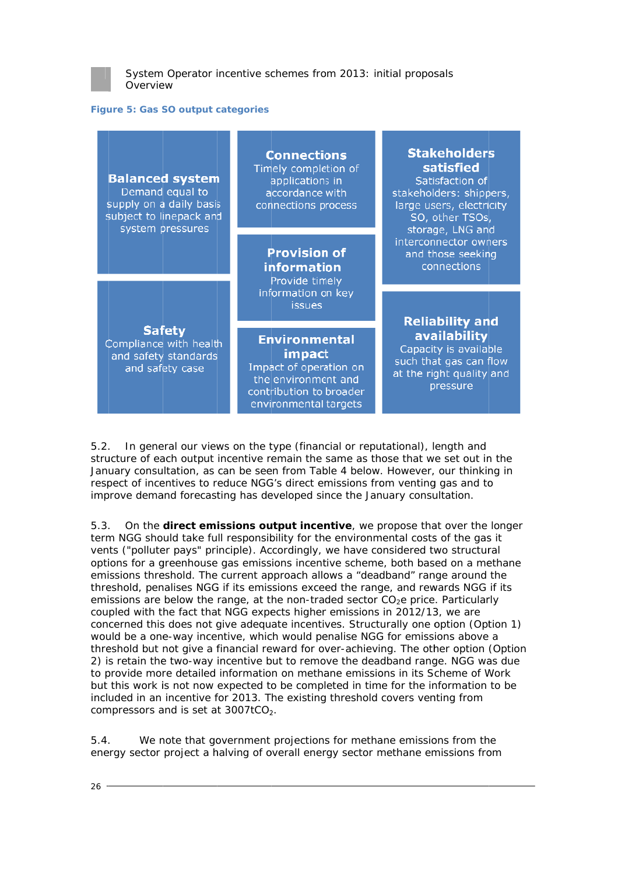

#### **Figure 5: Gas SO output categories**

| <b>Balanced system</b><br>Demand equal to<br>supply on a daily basis<br>subject to linepack and<br>system pressures | <b>Connections</b><br>Timely completion of<br>applications in<br>accordance with<br>connections process                             | <b>Stakeholders</b><br>satisfied<br>Satisfaction of<br>stakeholders: shippers,<br>large users, electricity<br>SO, other TSOs,<br>storage, LNG and |
|---------------------------------------------------------------------------------------------------------------------|-------------------------------------------------------------------------------------------------------------------------------------|---------------------------------------------------------------------------------------------------------------------------------------------------|
|                                                                                                                     | <b>Provision of</b><br>information<br>Provide timely<br>information on key<br>issues                                                | interconnector owners<br>and those seeking<br>connections                                                                                         |
| <b>Safety</b><br>Compliance with health<br>and safety standards<br>and safety case                                  | <b>Environmental</b><br>impact<br>Impact of operation on<br>the environment and<br>contribution to broader<br>environmental targets | <b>Reliability and</b><br>availability<br>Capacity is available<br>such that gas can flow<br>at the right quality and<br>pressure                 |

5.2 structure of each output incentive remain the same as those that we set out in the January consultation, as can be seen from Table 4 below. However, our thinking in respect of incentives to reduce NGG's direct emissions from venting gas and to improve demand forecasting has developed since the January consultation. respect of incentives to reduce NGG's direct emissions from venting gas and to<br>improve demand forecasting has developed since the January consultation.<br>5.3. On the **direct emissions output incentive**, we propose that over . In general our views on the type (financial or reputational), length and

term NGG should take full responsibility for the environmental costs of the gas it vents ("polluter pays" principle). Accordingly, we have considered two structural options for a greenhouse gas emissions incentive scheme, both based on a methane emissions threshold. The current approach allows a "deadband" range around the threshold, penalises NGG if its emissions exceed the range, and rewards NGG if its emissions are below the range, at the non-traded sector CO<sub>2</sub>e price. Particularly coupled with the fact that NGG expects higher emissions in 2012/13, we are concerned this does not give adequate incentives. Structurally one option (Option 1) would be a one-way incentive, which would penalise NGG for emissions above a threshold but not give a financial reward for over-achieving. The other option (Option 2) is retain the two-way incentive but to remove the deadband range. NGG was due to provide more detailed information on methane emissions in its Scheme of Work but this work is not now expected to be completed in time for the information to be included in an incentive for 2013. The existing threshold covers venting from compressors and is set at  $3007$ t $CO<sub>2</sub>$ .

5.4 energy sector project a halving of overall energy sector methane emissions from we note that government projections for methane emissions from the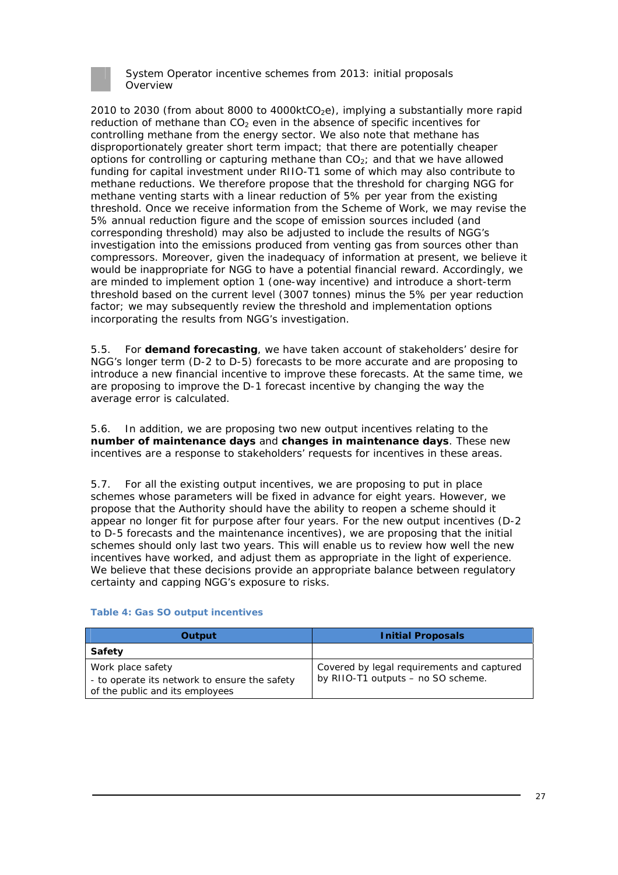

2010 to 2030 (from about 8000 to 4000ktCO<sub>2</sub>e), implying a substantially more rapid reduction of methane than CO<sub>2</sub> even in the absence of specific incentives for *controlling methane* from the energy sector. We also note that methane has disproportionately greater short term impact; that there are potentially cheaper options for controlling or capturing methane than  $CO<sub>2</sub>$ ; and that we have allowed funding for capital investment under RIIO-T1 some of which may also contribute to methane reductions. We therefore propose that the threshold for charging NGG for methane venting starts with a linear reduction of 5% per year from the existing threshold. Once we receive information from the Scheme of Work, we may revise the 5% annual reduction figure and the scope of emission sources included (and corresponding threshold) may also be adjusted to include the results of NGG's investigation into the emissions produced from venting gas from sources other than compressors. Moreover, given the inadequacy of information at present, we believe it would be inappropriate for NGG to have a potential financial reward. Accordingly, we are minded to implement option 1 (one-way incentive) and introduce a short-term threshold based on the current level (3007 tonnes) minus the 5% per year reduction factor; we may subsequently review the threshold and implementation options incorporating the results from NGG's investigation.

5.5. For **demand forecasting**, we have taken account of stakeholders' desire for NGG's longer term (D-2 to D-5) forecasts to be more accurate and are proposing to introduce a new financial incentive to improve these forecasts. At the same time, we are proposing to improve the D-1 forecast incentive by changing the way the average error is calculated.

5.6. In addition, we are proposing two new output incentives relating to the **number of maintenance days** and **changes in maintenance days**. These new incentives are a response to stakeholders' requests for incentives in these areas.

5.7. For all the existing output incentives, we are proposing to put in place schemes whose parameters will be fixed in advance for eight years. However, we propose that the Authority should have the ability to reopen a scheme should it appear no longer fit for purpose after four years. For the new output incentives (D-2 to D-5 forecasts and the maintenance incentives), we are proposing that the initial schemes should only last two years. This will enable us to review how well the new incentives have worked, and adjust them as appropriate in the light of experience. We believe that these decisions provide an appropriate balance between regulatory certainty and capping NGG's exposure to risks.

| Output                                                                                                | <b>Initial Proposals</b>                                                         |  |
|-------------------------------------------------------------------------------------------------------|----------------------------------------------------------------------------------|--|
| Safety                                                                                                |                                                                                  |  |
| Work place safety<br>- to operate its network to ensure the safety<br>of the public and its employees | Covered by legal requirements and captured<br>by RIIO-T1 outputs - no SO scheme. |  |

#### **Table 4: Gas SO output incentives**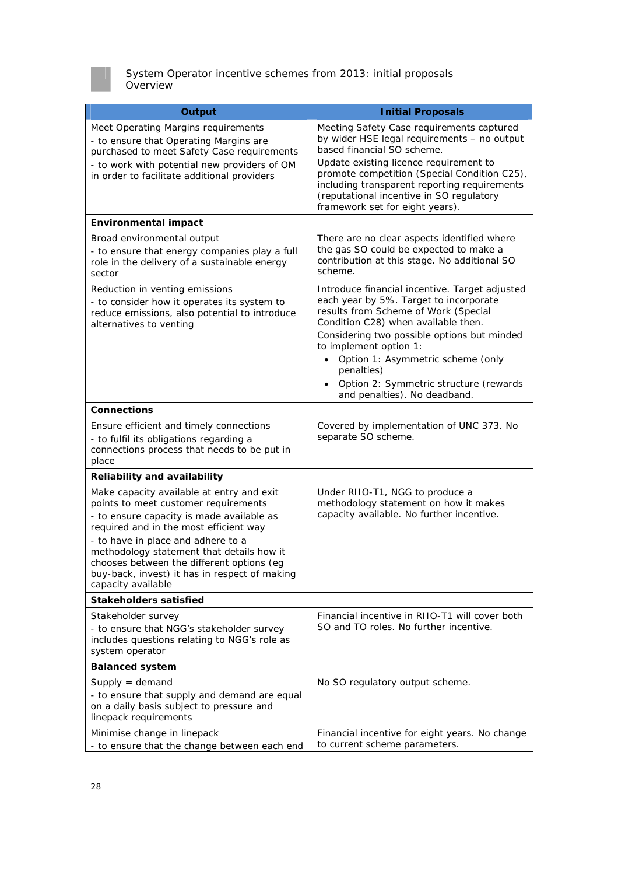

| <b>Output</b>                                                                                                                                                                                                                                                                                                                                                                   | <b>Initial Proposals</b>                                                                                                                                                                                                                                                                                                                                                                   |  |
|---------------------------------------------------------------------------------------------------------------------------------------------------------------------------------------------------------------------------------------------------------------------------------------------------------------------------------------------------------------------------------|--------------------------------------------------------------------------------------------------------------------------------------------------------------------------------------------------------------------------------------------------------------------------------------------------------------------------------------------------------------------------------------------|--|
| Meet Operating Margins requirements<br>- to ensure that Operating Margins are<br>purchased to meet Safety Case requirements<br>- to work with potential new providers of OM<br>in order to facilitate additional providers                                                                                                                                                      | Meeting Safety Case requirements captured<br>by wider HSE legal requirements - no output<br>based financial SO scheme.<br>Update existing licence requirement to<br>promote competition (Special Condition C25),<br>including transparent reporting requirements<br>(reputational incentive in SO regulatory<br>framework set for eight years).                                            |  |
| <b>Environmental impact</b>                                                                                                                                                                                                                                                                                                                                                     |                                                                                                                                                                                                                                                                                                                                                                                            |  |
| Broad environmental output<br>- to ensure that energy companies play a full<br>role in the delivery of a sustainable energy<br>sector                                                                                                                                                                                                                                           | There are no clear aspects identified where<br>the gas SO could be expected to make a<br>contribution at this stage. No additional SO<br>scheme.                                                                                                                                                                                                                                           |  |
| Reduction in venting emissions<br>- to consider how it operates its system to<br>reduce emissions, also potential to introduce<br>alternatives to venting                                                                                                                                                                                                                       | Introduce financial incentive. Target adjusted<br>each year by 5%. Target to incorporate<br>results from Scheme of Work (Special<br>Condition C28) when available then.<br>Considering two possible options but minded<br>to implement option 1:<br>Option 1: Asymmetric scheme (only<br>$\bullet$<br>penalties)<br>Option 2: Symmetric structure (rewards<br>and penalties). No deadband. |  |
| <b>Connections</b>                                                                                                                                                                                                                                                                                                                                                              |                                                                                                                                                                                                                                                                                                                                                                                            |  |
| Ensure efficient and timely connections<br>- to fulfil its obligations regarding a<br>connections process that needs to be put in<br>place                                                                                                                                                                                                                                      | Covered by implementation of UNC 373. No<br>separate SO scheme.                                                                                                                                                                                                                                                                                                                            |  |
| <b>Reliability and availability</b>                                                                                                                                                                                                                                                                                                                                             |                                                                                                                                                                                                                                                                                                                                                                                            |  |
| Make capacity available at entry and exit<br>points to meet customer requirements<br>- to ensure capacity is made available as<br>required and in the most efficient way<br>- to have in place and adhere to a<br>methodology statement that details how it<br>chooses between the different options (eg<br>buy-back, invest) it has in respect of making<br>capacity available | Under RIIO-T1, NGG to produce a<br>methodology statement on how it makes<br>capacity available. No further incentive.                                                                                                                                                                                                                                                                      |  |
| <b>Stakeholders satisfied</b>                                                                                                                                                                                                                                                                                                                                                   |                                                                                                                                                                                                                                                                                                                                                                                            |  |
| Stakeholder survey<br>- to ensure that NGG's stakeholder survey<br>includes questions relating to NGG's role as<br>system operator                                                                                                                                                                                                                                              | Financial incentive in RIIO-T1 will cover both<br>SO and TO roles. No further incentive.                                                                                                                                                                                                                                                                                                   |  |
| <b>Balanced system</b>                                                                                                                                                                                                                                                                                                                                                          |                                                                                                                                                                                                                                                                                                                                                                                            |  |
| Supply $=$ demand<br>- to ensure that supply and demand are equal<br>on a daily basis subject to pressure and<br>linepack requirements                                                                                                                                                                                                                                          | No SO regulatory output scheme.                                                                                                                                                                                                                                                                                                                                                            |  |
| Minimise change in linepack<br>- to ensure that the change between each end                                                                                                                                                                                                                                                                                                     | Financial incentive for eight years. No change<br>to current scheme parameters.                                                                                                                                                                                                                                                                                                            |  |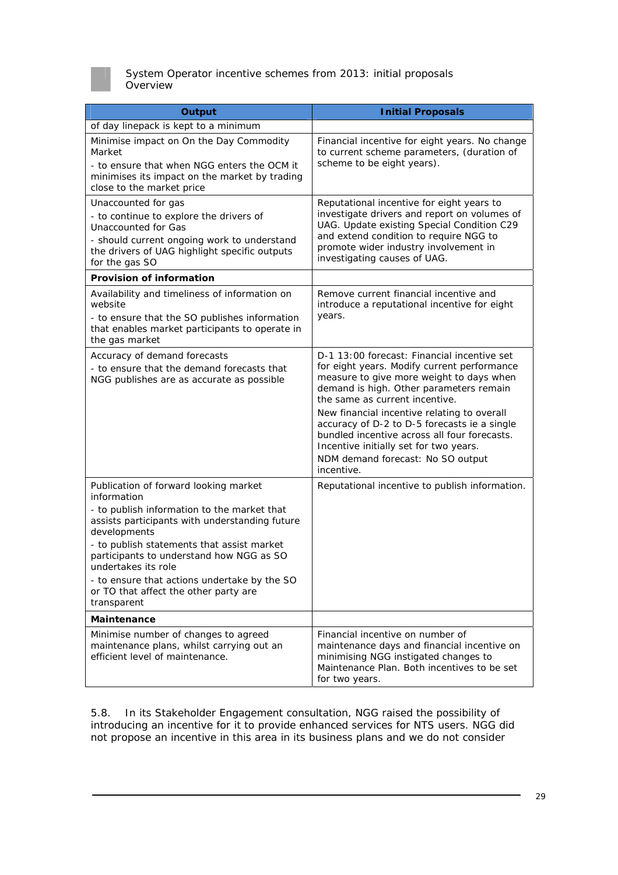

| <b>Output</b>                                                                                                                                                                                                                                                                                                                                                                                  | <b>Initial Proposals</b>                                                                                                                                                                                                                                                                                                                                                                                                                                        |  |
|------------------------------------------------------------------------------------------------------------------------------------------------------------------------------------------------------------------------------------------------------------------------------------------------------------------------------------------------------------------------------------------------|-----------------------------------------------------------------------------------------------------------------------------------------------------------------------------------------------------------------------------------------------------------------------------------------------------------------------------------------------------------------------------------------------------------------------------------------------------------------|--|
| of day linepack is kept to a minimum                                                                                                                                                                                                                                                                                                                                                           |                                                                                                                                                                                                                                                                                                                                                                                                                                                                 |  |
| Minimise impact on On the Day Commodity<br>Market<br>- to ensure that when NGG enters the OCM it<br>minimises its impact on the market by trading<br>close to the market price                                                                                                                                                                                                                 | Financial incentive for eight years. No change<br>to current scheme parameters, (duration of<br>scheme to be eight years).                                                                                                                                                                                                                                                                                                                                      |  |
| Unaccounted for gas<br>- to continue to explore the drivers of<br><b>Unaccounted for Gas</b><br>- should current ongoing work to understand<br>the drivers of UAG highlight specific outputs<br>for the gas SO                                                                                                                                                                                 | Reputational incentive for eight years to<br>investigate drivers and report on volumes of<br>UAG. Update existing Special Condition C29<br>and extend condition to require NGG to<br>promote wider industry involvement in<br>investigating causes of UAG.                                                                                                                                                                                                      |  |
| <b>Provision of information</b>                                                                                                                                                                                                                                                                                                                                                                |                                                                                                                                                                                                                                                                                                                                                                                                                                                                 |  |
| Availability and timeliness of information on<br>website<br>- to ensure that the SO publishes information<br>that enables market participants to operate in<br>the gas market                                                                                                                                                                                                                  | Remove current financial incentive and<br>introduce a reputational incentive for eight<br>years.                                                                                                                                                                                                                                                                                                                                                                |  |
| Accuracy of demand forecasts<br>- to ensure that the demand forecasts that<br>NGG publishes are as accurate as possible                                                                                                                                                                                                                                                                        | D-1 13:00 forecast: Financial incentive set<br>for eight years. Modify current performance<br>measure to give more weight to days when<br>demand is high. Other parameters remain<br>the same as current incentive.<br>New financial incentive relating to overall<br>accuracy of D-2 to D-5 forecasts ie a single<br>bundled incentive across all four forecasts.<br>Incentive initially set for two years.<br>NDM demand forecast: No SO output<br>incentive. |  |
| Publication of forward looking market<br>information<br>- to publish information to the market that<br>assists participants with understanding future<br>developments<br>- to publish statements that assist market<br>participants to understand how NGG as SO<br>undertakes its role<br>- to ensure that actions undertake by the SO<br>or TO that affect the other party are<br>transparent | Reputational incentive to publish information.                                                                                                                                                                                                                                                                                                                                                                                                                  |  |
| Maintenance                                                                                                                                                                                                                                                                                                                                                                                    |                                                                                                                                                                                                                                                                                                                                                                                                                                                                 |  |
| Minimise number of changes to agreed<br>maintenance plans, whilst carrying out an<br>efficient level of maintenance.                                                                                                                                                                                                                                                                           | Financial incentive on number of<br>maintenance days and financial incentive on<br>minimising NGG instigated changes to<br>Maintenance Plan. Both incentives to be set<br>for two years.                                                                                                                                                                                                                                                                        |  |

5.8. In its Stakeholder Engagement consultation, NGG raised the possibility of introducing an incentive for it to provide enhanced services for NTS users. NGG did not propose an incentive in this area in its business plans and we do not consider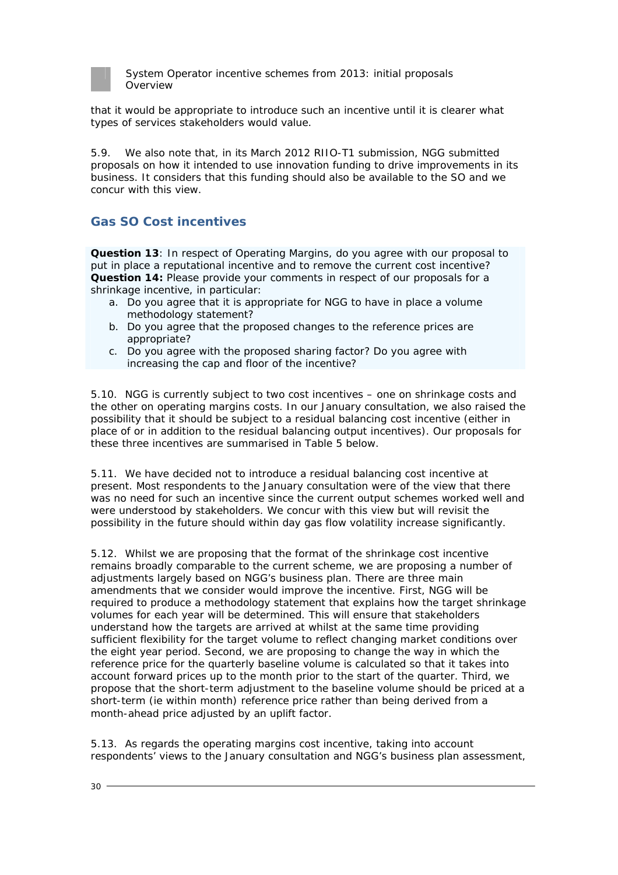

that it would be appropriate to introduce such an incentive until it is clearer what types of services stakeholders would value.

5.9. We also note that, in its March 2012 RIIO-T1 submission, NGG submitted proposals on how it intended to use innovation funding to drive improvements in its business. It considers that this funding should also be available to the SO and we concur with this view.

## **Gas SO Cost incentives**

**Question 13**: In respect of Operating Margins, do you agree with our proposal to put in place a reputational incentive and to remove the current cost incentive? **Question 14:** Please provide your comments in respect of our proposals for a shrinkage incentive, in particular:

- a. Do you agree that it is appropriate for NGG to have in place a volume methodology statement?
- b. Do you agree that the proposed changes to the reference prices are appropriate?
- c. Do you agree with the proposed sharing factor? Do you agree with increasing the cap and floor of the incentive?

5.10. NGG is currently subject to two cost incentives – one on shrinkage costs and the other on operating margins costs. In our January consultation, we also raised the possibility that it should be subject to a residual balancing cost incentive (either in place of or in addition to the residual balancing output incentives). Our proposals for these three incentives are summarised in Table 5 below.

5.11. We have decided not to introduce a residual balancing cost incentive at present. Most respondents to the January consultation were of the view that there was no need for such an incentive since the current output schemes worked well and were understood by stakeholders. We concur with this view but will revisit the possibility in the future should within day gas flow volatility increase significantly.

5.12. Whilst we are proposing that the format of the shrinkage cost incentive remains broadly comparable to the current scheme, we are proposing a number of adjustments largely based on NGG's business plan. There are three main amendments that we consider would improve the incentive. First, NGG will be required to produce a methodology statement that explains how the target shrinkage volumes for each year will be determined. This will ensure that stakeholders understand how the targets are arrived at whilst at the same time providing sufficient flexibility for the target volume to reflect changing market conditions over the eight year period. Second, we are proposing to change the way in which the reference price for the quarterly baseline volume is calculated so that it takes into account forward prices up to the month prior to the start of the quarter. Third, we propose that the short-term adjustment to the baseline volume should be priced at a short-term (ie within month) reference price rather than being derived from a month-ahead price adjusted by an uplift factor.

5.13. As regards the operating margins cost incentive, taking into account respondents' views to the January consultation and NGG's business plan assessment,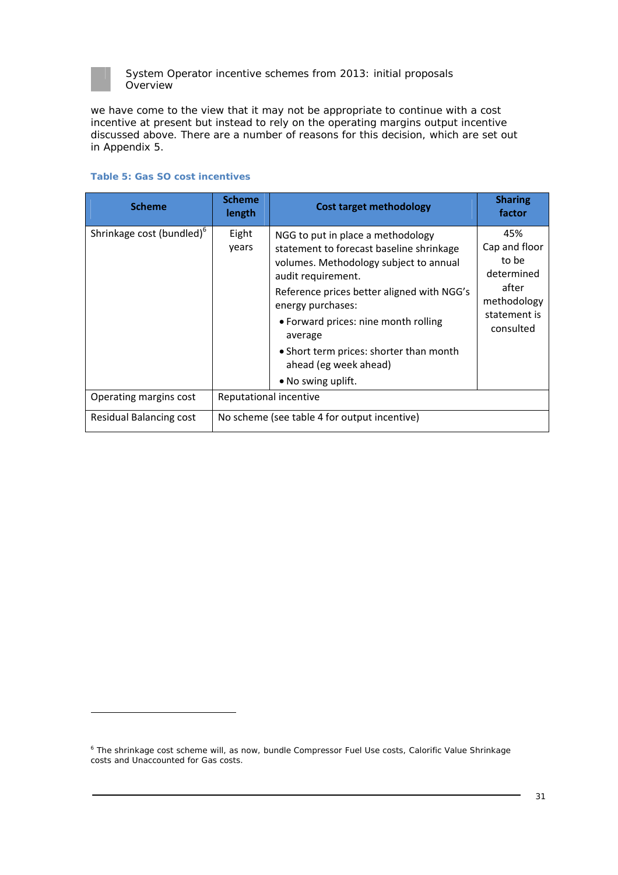

we have come to the view that it may not be appropriate to continue with a cost incentive at present but instead to rely on the operating margins output incentive discussed above. There are a number of reasons for this decision, which are set out in Appendix 5.

| <b>Scheme</b>                         | <b>Scheme</b><br>length                      | <b>Cost target methodology</b>                                                                                                                                                                                                                                                                                                                                | <b>Sharing</b><br>factor                                                                         |
|---------------------------------------|----------------------------------------------|---------------------------------------------------------------------------------------------------------------------------------------------------------------------------------------------------------------------------------------------------------------------------------------------------------------------------------------------------------------|--------------------------------------------------------------------------------------------------|
| Shrinkage cost (bundled) <sup>6</sup> | Eight<br>years                               | NGG to put in place a methodology<br>statement to forecast baseline shrinkage<br>volumes. Methodology subject to annual<br>audit requirement.<br>Reference prices better aligned with NGG's<br>energy purchases:<br>• Forward prices: nine month rolling<br>average<br>• Short term prices: shorter than month<br>ahead (eg week ahead)<br>• No swing uplift. | 45%<br>Cap and floor<br>to be<br>determined<br>after<br>methodology<br>statement is<br>consulted |
| Operating margins cost                | Reputational incentive                       |                                                                                                                                                                                                                                                                                                                                                               |                                                                                                  |
| Residual Balancing cost               | No scheme (see table 4 for output incentive) |                                                                                                                                                                                                                                                                                                                                                               |                                                                                                  |

#### **Table 5: Gas SO cost incentives**

<sup>&</sup>lt;sup>6</sup> The shrinkage cost scheme will, as now, bundle Compressor Fuel Use costs, Calorific Value Shrinkage costs and Unaccounted for Gas costs.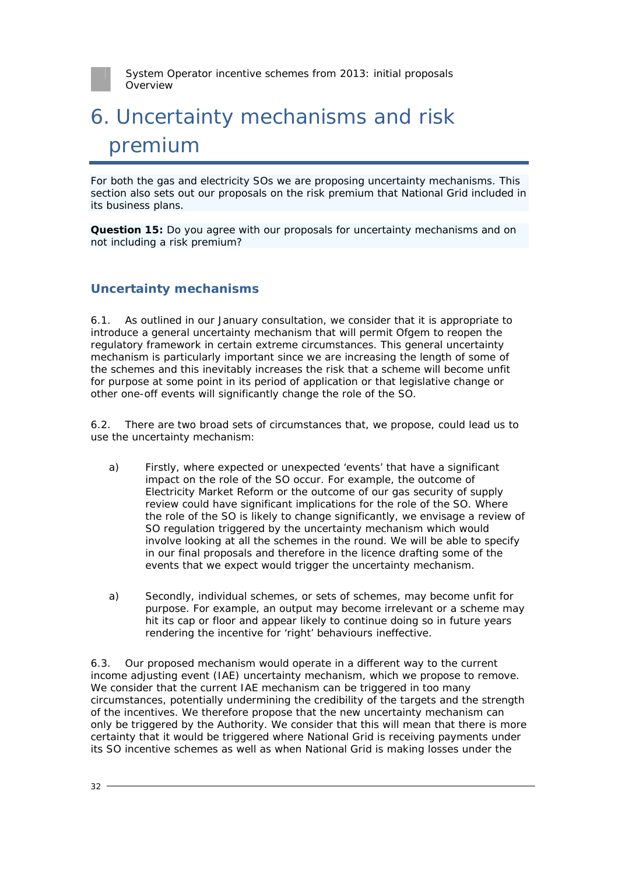

# 6. Uncertainty mechanisms and risk premium

For both the gas and electricity SOs we are proposing uncertainty mechanisms. This section also sets out our proposals on the risk premium that National Grid included in its business plans.

**Question 15:** Do you agree with our proposals for uncertainty mechanisms and on not including a risk premium?

## **Uncertainty mechanisms**

6.1. As outlined in our January consultation, we consider that it is appropriate to introduce a general uncertainty mechanism that will permit Ofgem to reopen the regulatory framework in certain extreme circumstances. This general uncertainty mechanism is particularly important since we are increasing the length of some of the schemes and this inevitably increases the risk that a scheme will become unfit for purpose at some point in its period of application or that legislative change or other one-off events will significantly change the role of the SO.

6.2. There are two broad sets of circumstances that, we propose, could lead us to use the uncertainty mechanism:

- a) Firstly, where expected or unexpected 'events' that have a significant impact on the role of the SO occur. For example, the outcome of Electricity Market Reform or the outcome of our gas security of supply review could have significant implications for the role of the SO. Where the role of the SO is likely to change significantly, we envisage a review of SO regulation triggered by the uncertainty mechanism which would involve looking at all the schemes in the round. We will be able to specify in our final proposals and therefore in the licence drafting some of the events that we expect would trigger the uncertainty mechanism.
- a) Secondly, individual schemes, or sets of schemes, may become unfit for purpose. For example, an output may become irrelevant or a scheme may hit its cap or floor and appear likely to continue doing so in future years rendering the incentive for 'right' behaviours ineffective.

6.3. Our proposed mechanism would operate in a different way to the current income adjusting event (IAE) uncertainty mechanism, which we propose to remove. We consider that the current IAE mechanism can be triggered in too many circumstances, potentially undermining the credibility of the targets and the strength of the incentives. We therefore propose that the new uncertainty mechanism can only be triggered by the Authority. We consider that this will mean that there is more certainty that it would be triggered where National Grid is receiving payments under its SO incentive schemes as well as when National Grid is making losses under the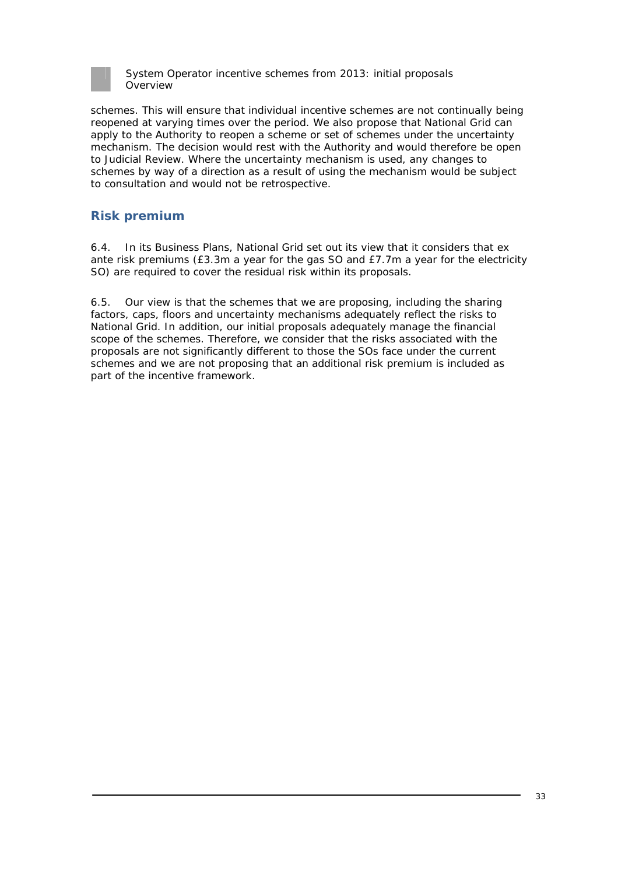

schemes. This will ensure that individual incentive schemes are not continually being reopened at varying times over the period. We also propose that National Grid can apply to the Authority to reopen a scheme or set of schemes under the uncertainty mechanism. The decision would rest with the Authority and would therefore be open to Judicial Review. Where the uncertainty mechanism is used, any changes to schemes by way of a direction as a result of using the mechanism would be subject to consultation and would not be retrospective.

## **Risk premium**

6.4. In its Business Plans, National Grid set out its view that it considers that ex ante risk premiums (£3.3m a year for the gas SO and £7.7m a year for the electricity SO) are required to cover the residual risk within its proposals.

6.5. Our view is that the schemes that we are proposing, including the sharing factors, caps, floors and uncertainty mechanisms adequately reflect the risks to National Grid. In addition, our initial proposals adequately manage the financial scope of the schemes. Therefore, we consider that the risks associated with the proposals are not significantly different to those the SOs face under the current schemes and we are not proposing that an additional risk premium is included as part of the incentive framework.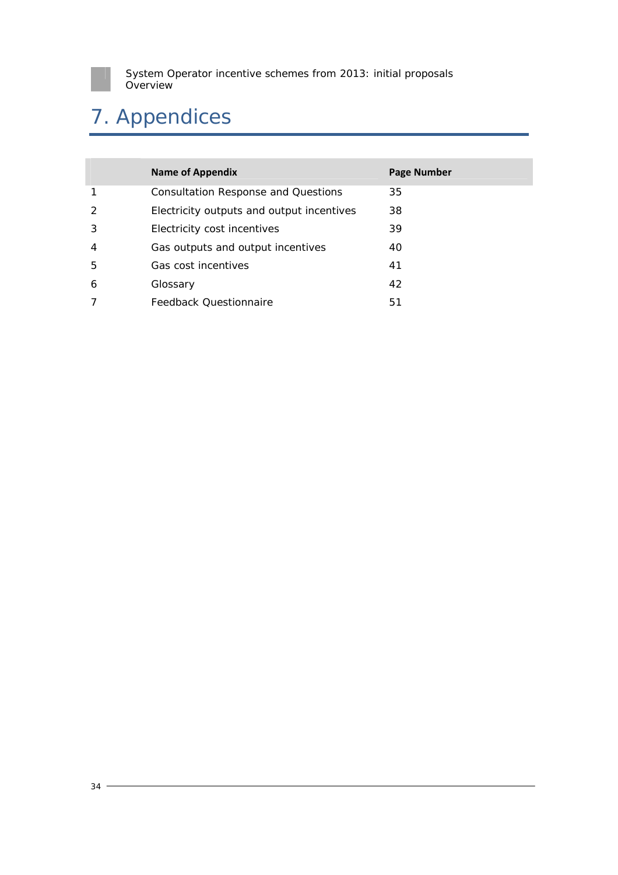

# 7. Appendices

|               | <b>Name of Appendix</b>                    | Page Number |
|---------------|--------------------------------------------|-------------|
| 1             | <b>Consultation Response and Questions</b> | 35          |
| $\mathcal{L}$ | Electricity outputs and output incentives  | 38          |
| 3             | Electricity cost incentives                | 39          |
| 4             | Gas outputs and output incentives          | 40          |
| 5             | Gas cost incentives                        | 41          |
| 6             | Glossary                                   | 42          |
|               | Feedback Questionnaire                     | 51          |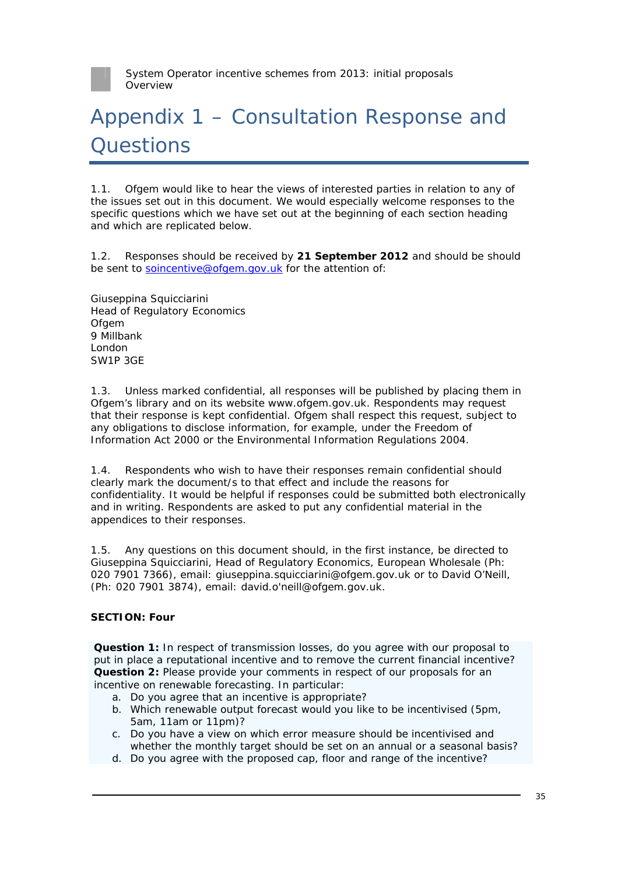

# Appendix 1 – Consultation Response and **Ouestions**

1.1. Ofgem would like to hear the views of interested parties in relation to any of the issues set out in this document. We would especially welcome responses to the specific questions which we have set out at the beginning of each section heading and which are replicated below.

1.2. Responses should be received by **21 September 2012** and should be should be sent to soincentive@ofgem.gov.uk for the attention of:

Giuseppina Squicciarini Head of Regulatory Economics **Ofgem** 9 Millbank London SW1P 3GE

1.3. Unless marked confidential, all responses will be published by placing them in Ofgem's library and on its website www.ofgem.gov.uk. Respondents may request that their response is kept confidential. Ofgem shall respect this request, subject to any obligations to disclose information, for example, under the Freedom of Information Act 2000 or the Environmental Information Regulations 2004.

1.4. Respondents who wish to have their responses remain confidential should clearly mark the document/s to that effect and include the reasons for confidentiality. It would be helpful if responses could be submitted both electronically and in writing. Respondents are asked to put any confidential material in the appendices to their responses.

1.5. Any questions on this document should, in the first instance, be directed to Giuseppina Squicciarini, Head of Regulatory Economics, European Wholesale (Ph: 020 7901 7366), email: giuseppina.squicciarini@ofgem.gov.uk or to David O'Neill, (Ph: 020 7901 3874), email: david.o'neill@ofgem.gov.uk.

#### **SECTION: Four**

**Question 1:** In respect of transmission losses, do you agree with our proposal to put in place a reputational incentive and to remove the current financial incentive? **Question 2:** Please provide your comments in respect of our proposals for an incentive on renewable forecasting. In particular:

- a. Do you agree that an incentive is appropriate?
- b. Which renewable output forecast would you like to be incentivised (5pm, 5am, 11am or 11pm)?
- c. Do you have a view on which error measure should be incentivised and whether the monthly target should be set on an annual or a seasonal basis?
- d. Do you agree with the proposed cap, floor and range of the incentive?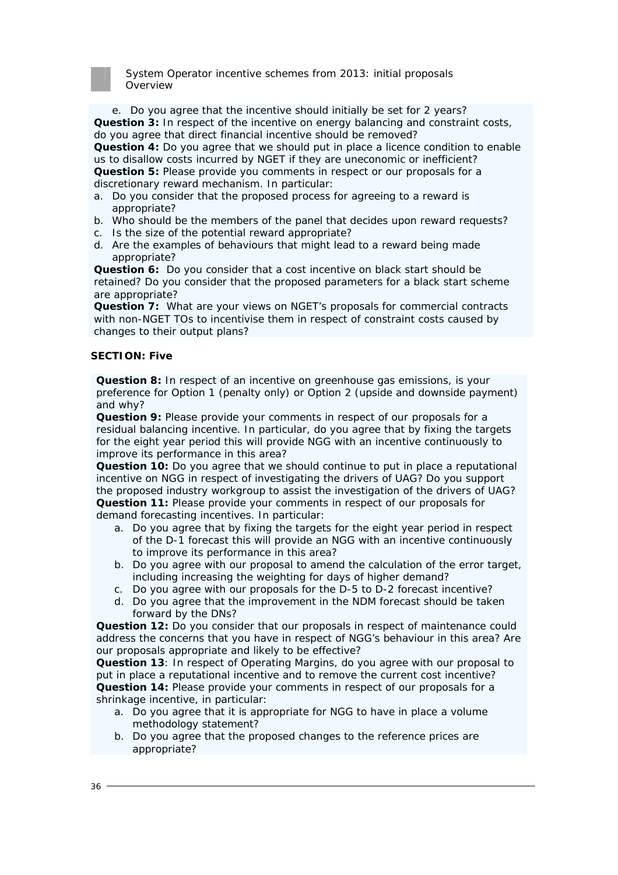

e. Do you agree that the incentive should initially be set for 2 years? **Question 3:** In respect of the incentive on energy balancing and constraint costs, do you agree that direct financial incentive should be removed? **Question 4:** Do you agree that we should put in place a licence condition to enable

us to disallow costs incurred by NGET if they are uneconomic or inefficient? **Question 5:** Please provide you comments in respect or our proposals for a discretionary reward mechanism. In particular:

- a. Do you consider that the proposed process for agreeing to a reward is appropriate?
- b. Who should be the members of the panel that decides upon reward requests?
- c. Is the size of the potential reward appropriate?
- d. Are the examples of behaviours that might lead to a reward being made appropriate?

**Question 6:** Do you consider that a cost incentive on black start should be retained? Do you consider that the proposed parameters for a black start scheme are appropriate?

**Question 7:** What are your views on NGET's proposals for commercial contracts with non-NGET TOs to incentivise them in respect of constraint costs caused by changes to their output plans?

#### **SECTION: Five**

**Question 8:** In respect of an incentive on greenhouse gas emissions, is your preference for Option 1 (penalty only) or Option 2 (upside and downside payment) and why?

**Question 9:** Please provide your comments in respect of our proposals for a residual balancing incentive. In particular, do you agree that by fixing the targets for the eight year period this will provide NGG with an incentive continuously to improve its performance in this area?

**Question 10:** Do you agree that we should continue to put in place a reputational incentive on NGG in respect of investigating the drivers of UAG? Do you support the proposed industry workgroup to assist the investigation of the drivers of UAG? **Question 11:** Please provide your comments in respect of our proposals for demand forecasting incentives. In particular:

- a. Do you agree that by fixing the targets for the eight year period in respect of the D-1 forecast this will provide an NGG with an incentive continuously to improve its performance in this area?
- b. Do you agree with our proposal to amend the calculation of the error target, including increasing the weighting for days of higher demand?
- c. Do you agree with our proposals for the D-5 to D-2 forecast incentive?
- d. Do you agree that the improvement in the NDM forecast should be taken forward by the DNs?

**Question 12:** Do you consider that our proposals in respect of maintenance could address the concerns that you have in respect of NGG's behaviour in this area? Are our proposals appropriate and likely to be effective?

**Question 13**: In respect of Operating Margins, do you agree with our proposal to put in place a reputational incentive and to remove the current cost incentive? **Question 14:** Please provide your comments in respect of our proposals for a shrinkage incentive, in particular:

- a. Do you agree that it is appropriate for NGG to have in place a volume methodology statement?
- b. Do you agree that the proposed changes to the reference prices are appropriate?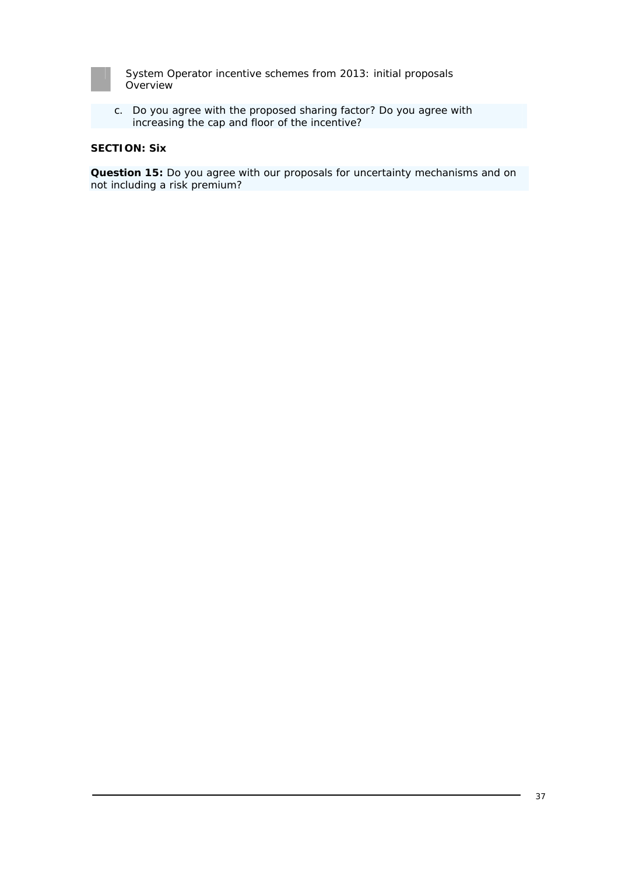| __ |  |  |  |
|----|--|--|--|
|    |  |  |  |
|    |  |  |  |
|    |  |  |  |
|    |  |  |  |
|    |  |  |  |
|    |  |  |  |
|    |  |  |  |

c. Do you agree with the proposed sharing factor? Do you agree with increasing the cap and floor of the incentive?

#### **SECTION: Six**

**Question 15:** Do you agree with our proposals for uncertainty mechanisms and on not including a risk premium?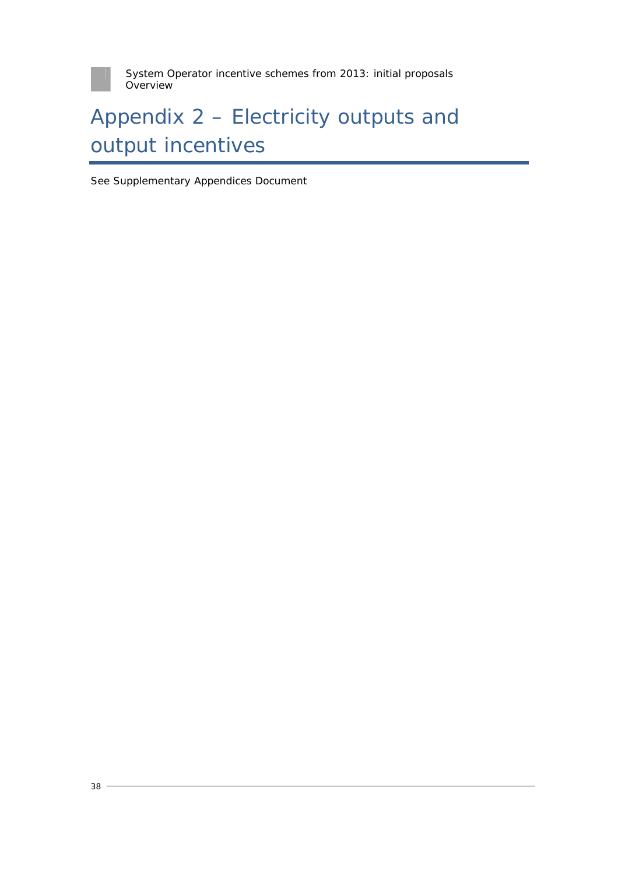

# Appendix 2 – Electricity outputs and output incentives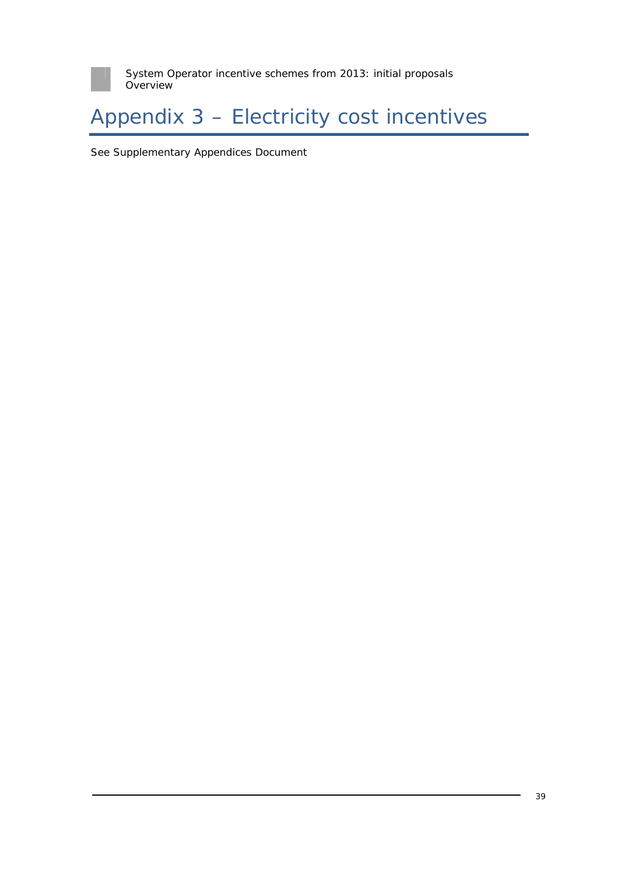

# Appendix 3 – Electricity cost incentives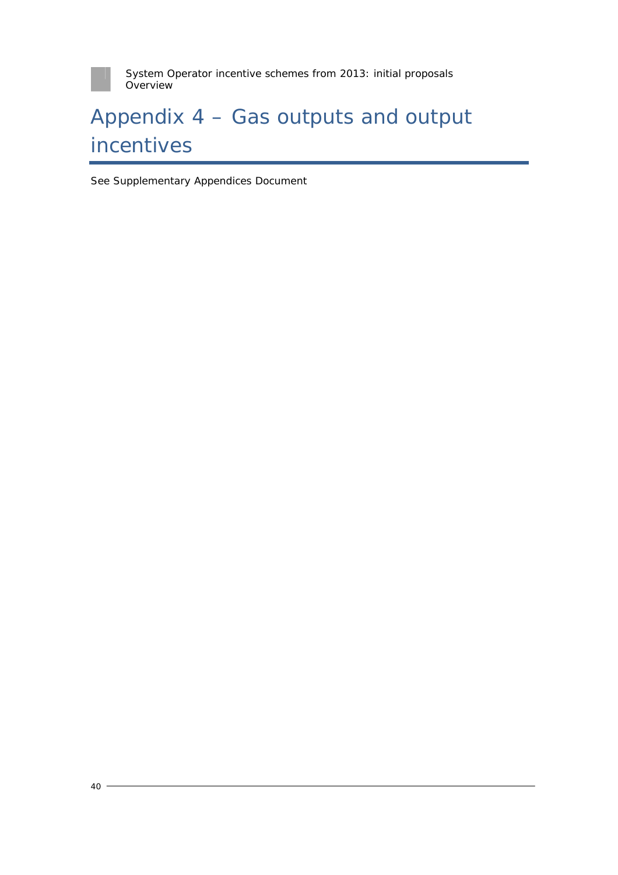

# Appendix 4 – Gas outputs and output incentives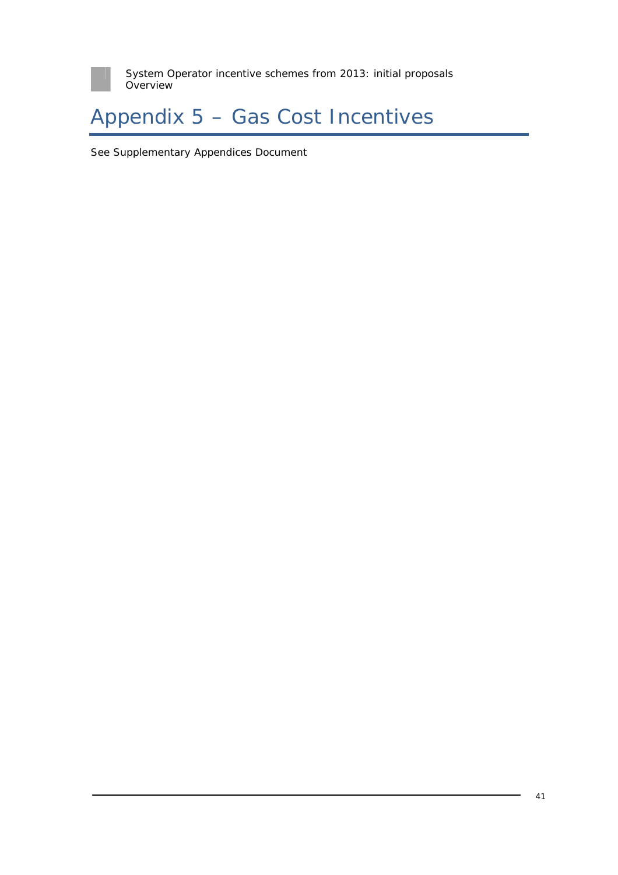

# Appendix 5 – Gas Cost Incentives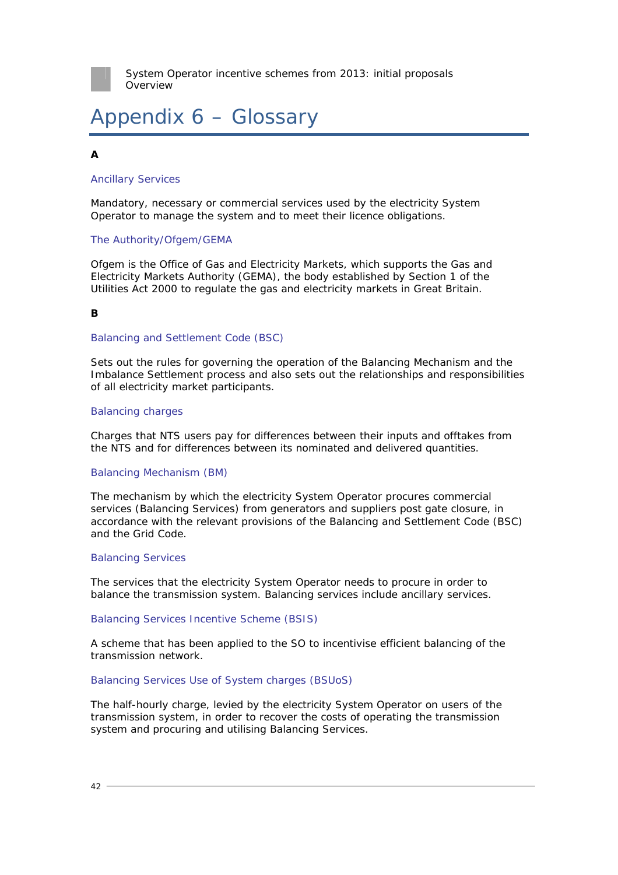# Appendix 6 – Glossary

### **A**

#### Ancillary Services

Mandatory, necessary or commercial services used by the electricity System Operator to manage the system and to meet their licence obligations.

#### The Authority/Ofgem/GEMA

Ofgem is the Office of Gas and Electricity Markets, which supports the Gas and Electricity Markets Authority (GEMA), the body established by Section 1 of the Utilities Act 2000 to regulate the gas and electricity markets in Great Britain.

#### **B**

#### Balancing and Settlement Code (BSC)

Sets out the rules for governing the operation of the Balancing Mechanism and the Imbalance Settlement process and also sets out the relationships and responsibilities of all electricity market participants.

#### Balancing charges

Charges that NTS users pay for differences between their inputs and offtakes from the NTS and for differences between its nominated and delivered quantities.

#### Balancing Mechanism (BM)

The mechanism by which the electricity System Operator procures commercial services (Balancing Services) from generators and suppliers post gate closure, in accordance with the relevant provisions of the Balancing and Settlement Code (BSC) and the Grid Code.

#### Balancing Services

The services that the electricity System Operator needs to procure in order to balance the transmission system. Balancing services include ancillary services.

#### Balancing Services Incentive Scheme (BSIS)

A scheme that has been applied to the SO to incentivise efficient balancing of the transmission network.

#### Balancing Services Use of System charges (BSUoS)

The half-hourly charge, levied by the electricity System Operator on users of the transmission system, in order to recover the costs of operating the transmission system and procuring and utilising Balancing Services.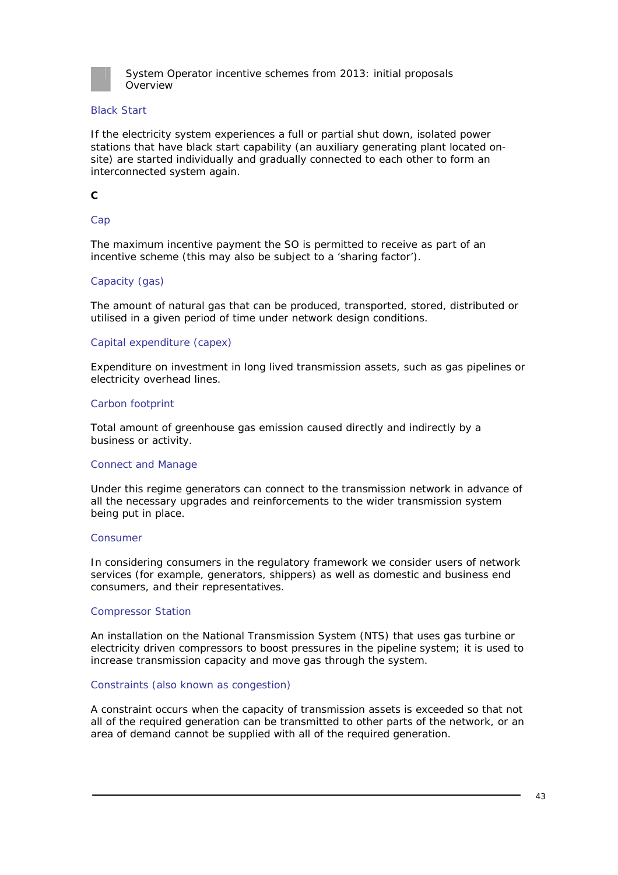

#### Black Start

If the electricity system experiences a full or partial shut down, isolated power stations that have black start capability (an auxiliary generating plant located onsite) are started individually and gradually connected to each other to form an interconnected system again.

#### **C**

#### Cap

The maximum incentive payment the SO is permitted to receive as part of an incentive scheme (this may also be subject to a 'sharing factor').

#### Capacity (gas)

The amount of natural gas that can be produced, transported, stored, distributed or utilised in a given period of time under network design conditions.

#### Capital expenditure (capex)

Expenditure on investment in long lived transmission assets, such as gas pipelines or electricity overhead lines.

#### Carbon footprint

Total amount of greenhouse gas emission caused directly and indirectly by a business or activity.

#### Connect and Manage

Under this regime generators can connect to the transmission network in advance of all the necessary upgrades and reinforcements to the wider transmission system being put in place.

#### Consumer

In considering consumers in the regulatory framework we consider users of network services (for example, generators, shippers) as well as domestic and business end consumers, and their representatives.

#### Compressor Station

An installation on the National Transmission System (NTS) that uses gas turbine or electricity driven compressors to boost pressures in the pipeline system; it is used to increase transmission capacity and move gas through the system.

#### Constraints (also known as congestion)

A constraint occurs when the capacity of transmission assets is exceeded so that not all of the required generation can be transmitted to other parts of the network, or an area of demand cannot be supplied with all of the required generation.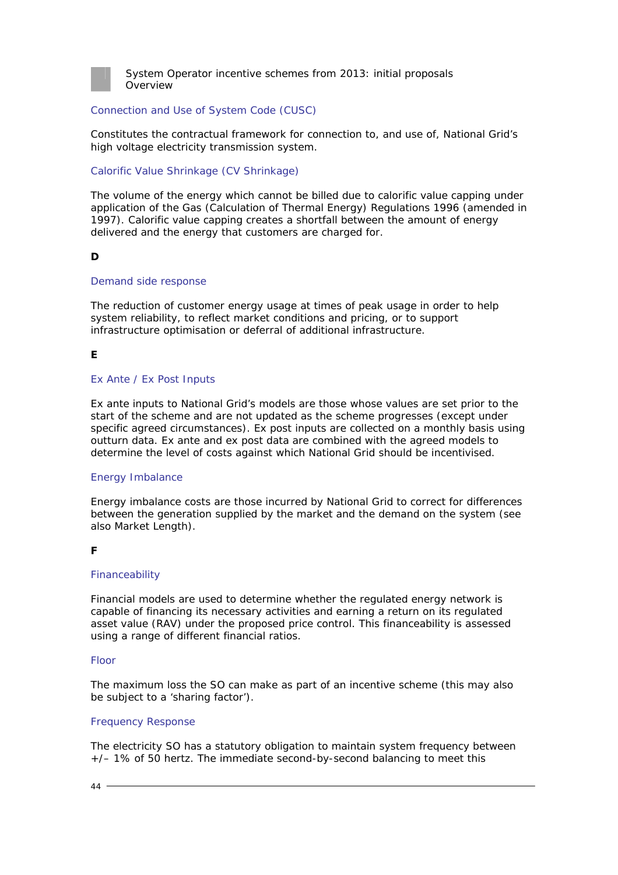

#### Connection and Use of System Code (CUSC)

Constitutes the contractual framework for connection to, and use of, National Grid's high voltage electricity transmission system.

#### Calorific Value Shrinkage (CV Shrinkage)

The volume of the energy which cannot be billed due to calorific value capping under application of the Gas (Calculation of Thermal Energy) Regulations 1996 (amended in 1997). Calorific value capping creates a shortfall between the amount of energy delivered and the energy that customers are charged for.

### **D**

#### Demand side response

The reduction of customer energy usage at times of peak usage in order to help system reliability, to reflect market conditions and pricing, or to support infrastructure optimisation or deferral of additional infrastructure.

### **E**

#### Ex Ante / Ex Post Inputs

Ex ante inputs to National Grid's models are those whose values are set prior to the start of the scheme and are not updated as the scheme progresses (except under specific agreed circumstances). Ex post inputs are collected on a monthly basis using outturn data. Ex ante and ex post data are combined with the agreed models to determine the level of costs against which National Grid should be incentivised.

#### Energy Imbalance

Energy imbalance costs are those incurred by National Grid to correct for differences between the generation supplied by the market and the demand on the system (see also Market Length).

#### **F**

#### Financeability

Financial models are used to determine whether the regulated energy network is capable of financing its necessary activities and earning a return on its regulated asset value (RAV) under the proposed price control. This financeability is assessed using a range of different financial ratios.

#### Floor

The maximum loss the SO can make as part of an incentive scheme (this may also be subject to a 'sharing factor').

#### Frequency Response

The electricity SO has a statutory obligation to maintain system frequency between +/– 1% of 50 hertz. The immediate second-by-second balancing to meet this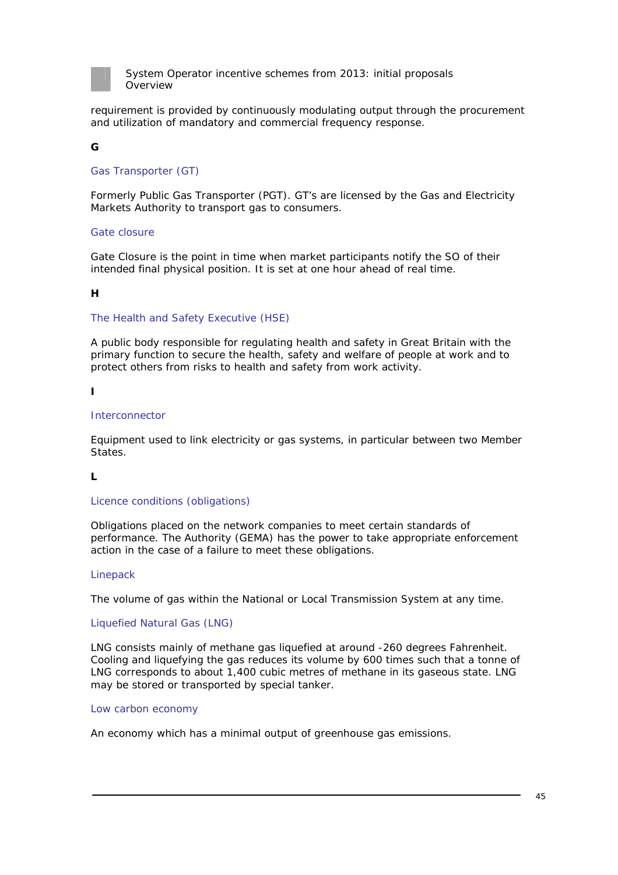

requirement is provided by continuously modulating output through the procurement and utilization of mandatory and commercial frequency response.

### **G**

#### Gas Transporter (GT)

Formerly Public Gas Transporter (PGT). GT's are licensed by the Gas and Electricity Markets Authority to transport gas to consumers.

#### Gate closure

Gate Closure is the point in time when market participants notify the SO of their intended final physical position. It is set at one hour ahead of real time.

#### **H**

#### The Health and Safety Executive (HSE)

A public body responsible for regulating health and safety in Great Britain with the primary function to secure the health, safety and welfare of people at work and to protect others from risks to health and safety from work activity.

**I** 

#### **Interconnector**

Equipment used to link electricity or gas systems, in particular between two Member States.

#### **L**

#### Licence conditions (obligations)

Obligations placed on the network companies to meet certain standards of performance. The Authority (GEMA) has the power to take appropriate enforcement action in the case of a failure to meet these obligations.

#### Linepack

The volume of gas within the National or Local Transmission System at any time.

#### Liquefied Natural Gas (LNG)

LNG consists mainly of methane gas liquefied at around -260 degrees Fahrenheit. Cooling and liquefying the gas reduces its volume by 600 times such that a tonne of LNG corresponds to about 1,400 cubic metres of methane in its gaseous state. LNG may be stored or transported by special tanker.

#### Low carbon economy

An economy which has a minimal output of greenhouse gas emissions.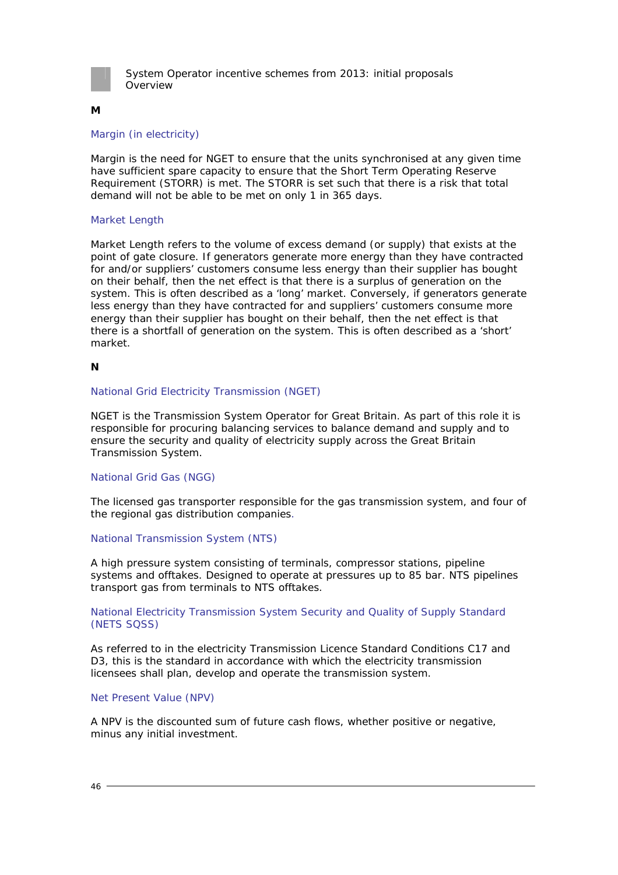

#### **M**

#### Margin (in electricity)

Margin is the need for NGET to ensure that the units synchronised at any given time have sufficient spare capacity to ensure that the Short Term Operating Reserve Requirement (STORR) is met. The STORR is set such that there is a risk that total demand will not be able to be met on only 1 in 365 days.

#### Market Length

Market Length refers to the volume of excess demand (or supply) that exists at the point of gate closure. If generators generate more energy than they have contracted for and/or suppliers' customers consume less energy than their supplier has bought on their behalf, then the net effect is that there is a surplus of generation on the system. This is often described as a 'long' market. Conversely, if generators generate less energy than they have contracted for and suppliers' customers consume more energy than their supplier has bought on their behalf, then the net effect is that there is a shortfall of generation on the system. This is often described as a 'short' market.

#### **N**

#### National Grid Electricity Transmission (NGET)

NGET is the Transmission System Operator for Great Britain. As part of this role it is responsible for procuring balancing services to balance demand and supply and to ensure the security and quality of electricity supply across the Great Britain Transmission System.

#### National Grid Gas (NGG)

The licensed gas transporter responsible for the gas transmission system, and four of the regional gas distribution companies.

#### National Transmission System (NTS)

A high pressure system consisting of terminals, compressor stations, pipeline systems and offtakes. Designed to operate at pressures up to 85 bar. NTS pipelines transport gas from terminals to NTS offtakes.

#### National Electricity Transmission System Security and Quality of Supply Standard (NETS SQSS)

As referred to in the electricity Transmission Licence Standard Conditions C17 and D3, this is the standard in accordance with which the electricity transmission licensees shall plan, develop and operate the transmission system.

#### Net Present Value (NPV)

A NPV is the discounted sum of future cash flows, whether positive or negative, minus any initial investment.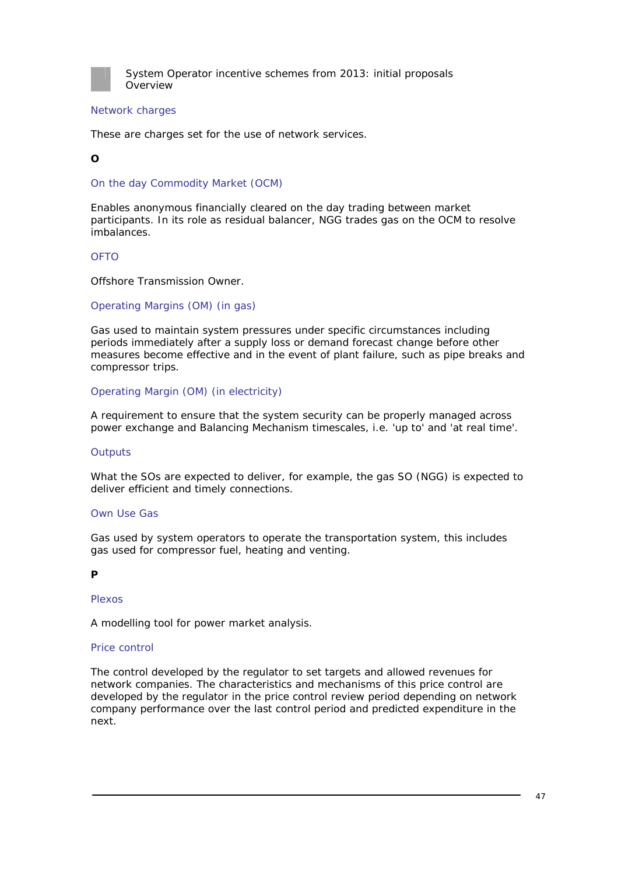

#### Network charges

These are charges set for the use of network services.

#### **O**

On the day Commodity Market (OCM)

Enables anonymous financially cleared on the day trading between market participants. In its role as residual balancer, NGG trades gas on the OCM to resolve imbalances.

#### OFTO

Offshore Transmission Owner.

#### Operating Margins (OM) (in gas)

Gas used to maintain system pressures under specific circumstances including periods immediately after a supply loss or demand forecast change before other measures become effective and in the event of plant failure, such as pipe breaks and compressor trips.

#### Operating Margin (OM) (in electricity)

A requirement to ensure that the system security can be properly managed across power exchange and Balancing Mechanism timescales, i.e. 'up to' and 'at real time'.

#### **Outputs**

What the SOs are expected to deliver, for example, the gas SO (NGG) is expected to deliver efficient and timely connections.

#### Own Use Gas

Gas used by system operators to operate the transportation system, this includes gas used for compressor fuel, heating and venting.

#### **P**

#### Plexos

A modelling tool for power market analysis.

#### Price control

The control developed by the regulator to set targets and allowed revenues for network companies. The characteristics and mechanisms of this price control are developed by the regulator in the price control review period depending on network company performance over the last control period and predicted expenditure in the next.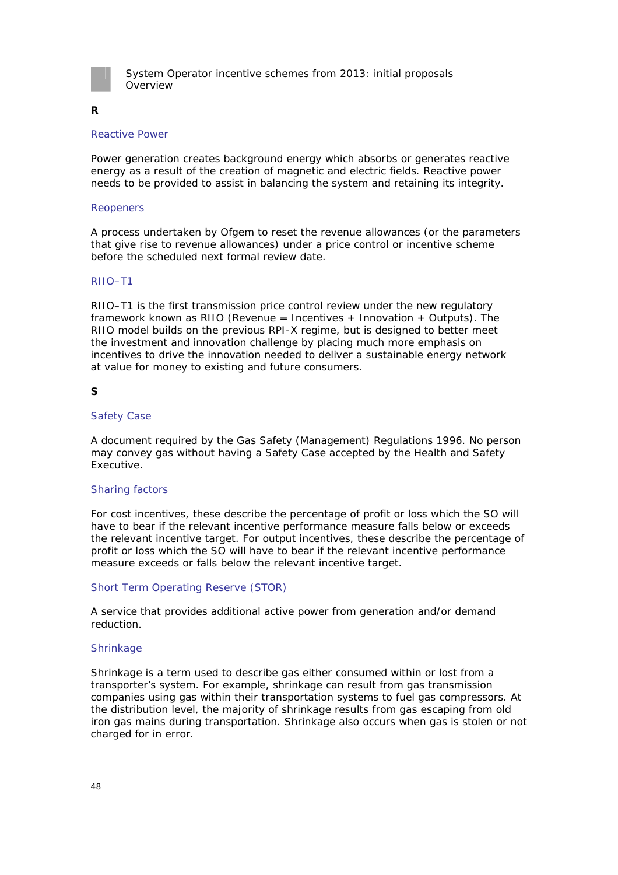

### **R**

#### Reactive Power

Power generation creates background energy which absorbs or generates reactive energy as a result of the creation of magnetic and electric fields. Reactive power needs to be provided to assist in balancing the system and retaining its integrity.

#### Reopeners

A process undertaken by Ofgem to reset the revenue allowances (or the parameters that give rise to revenue allowances) under a price control or incentive scheme before the scheduled next formal review date.

#### RIIO–T1

RIIO–T1 is the first transmission price control review under the new regulatory framework known as RIIO (Revenue = Incentives + Innovation + Outputs). The RIIO model builds on the previous RPI-X regime, but is designed to better meet the investment and innovation challenge by placing much more emphasis on incentives to drive the innovation needed to deliver a sustainable energy network at value for money to existing and future consumers.

#### **S**

#### Safety Case

A document required by the Gas Safety (Management) Regulations 1996. No person may convey gas without having a Safety Case accepted by the Health and Safety Executive.

#### Sharing factors

For cost incentives, these describe the percentage of profit or loss which the SO will have to bear if the relevant incentive performance measure falls below or exceeds the relevant incentive target. For output incentives, these describe the percentage of profit or loss which the SO will have to bear if the relevant incentive performance measure exceeds or falls below the relevant incentive target.

#### Short Term Operating Reserve (STOR)

A service that provides additional active power from generation and/or demand reduction.

#### Shrinkage

Shrinkage is a term used to describe gas either consumed within or lost from a transporter's system. For example, shrinkage can result from gas transmission companies using gas within their transportation systems to fuel gas compressors. At the distribution level, the majority of shrinkage results from gas escaping from old iron gas mains during transportation. Shrinkage also occurs when gas is stolen or not charged for in error.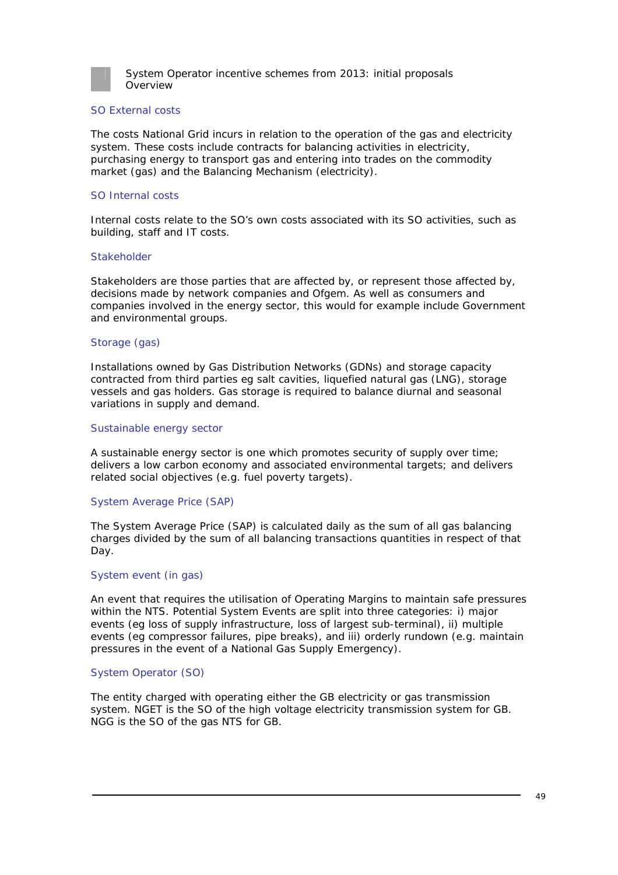

#### SO External costs

The costs National Grid incurs in relation to the operation of the gas and electricity system. These costs include contracts for balancing activities in electricity, purchasing energy to transport gas and entering into trades on the commodity market (gas) and the Balancing Mechanism (electricity).

#### SO Internal costs

Internal costs relate to the SO's own costs associated with its SO activities, such as building, staff and IT costs.

#### **Stakeholder**

Stakeholders are those parties that are affected by, or represent those affected by, decisions made by network companies and Ofgem. As well as consumers and companies involved in the energy sector, this would for example include Government and environmental groups.

#### Storage (gas)

Installations owned by Gas Distribution Networks (GDNs) and storage capacity contracted from third parties eg salt cavities, liquefied natural gas (LNG), storage vessels and gas holders. Gas storage is required to balance diurnal and seasonal variations in supply and demand.

#### Sustainable energy sector

A sustainable energy sector is one which promotes security of supply over time; delivers a low carbon economy and associated environmental targets; and delivers related social objectives (e.g. fuel poverty targets).

#### System Average Price (SAP)

The System Average Price (SAP) is calculated daily as the sum of all gas balancing charges divided by the sum of all balancing transactions quantities in respect of that Day.

#### System event (in gas)

An event that requires the utilisation of Operating Margins to maintain safe pressures within the NTS. Potential System Events are split into three categories: i) major events (eg loss of supply infrastructure, loss of largest sub-terminal), ii) multiple events (eg compressor failures, pipe breaks), and iii) orderly rundown (e.g. maintain pressures in the event of a National Gas Supply Emergency).

#### System Operator (SO)

The entity charged with operating either the GB electricity or gas transmission system. NGET is the SO of the high voltage electricity transmission system for GB. NGG is the SO of the gas NTS for GB.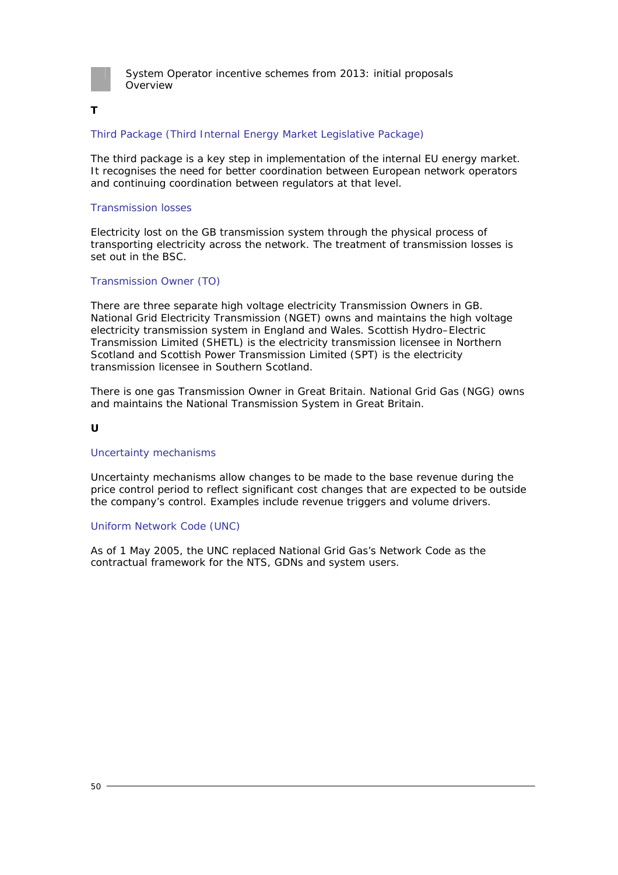

#### **T**

#### Third Package (Third Internal Energy Market Legislative Package)

The third package is a key step in implementation of the internal EU energy market. It recognises the need for better coordination between European network operators and continuing coordination between regulators at that level.

#### Transmission losses

Electricity lost on the GB transmission system through the physical process of transporting electricity across the network. The treatment of transmission losses is set out in the BSC.

#### Transmission Owner (TO)

There are three separate high voltage electricity Transmission Owners in GB. National Grid Electricity Transmission (NGET) owns and maintains the high voltage electricity transmission system in England and Wales. Scottish Hydro–Electric Transmission Limited (SHETL) is the electricity transmission licensee in Northern Scotland and Scottish Power Transmission Limited (SPT) is the electricity transmission licensee in Southern Scotland.

There is one gas Transmission Owner in Great Britain. National Grid Gas (NGG) owns and maintains the National Transmission System in Great Britain.

#### **U**

#### Uncertainty mechanisms

Uncertainty mechanisms allow changes to be made to the base revenue during the price control period to reflect significant cost changes that are expected to be outside the company's control. Examples include revenue triggers and volume drivers.

#### Uniform Network Code (UNC)

As of 1 May 2005, the UNC replaced National Grid Gas's Network Code as the contractual framework for the NTS, GDNs and system users.